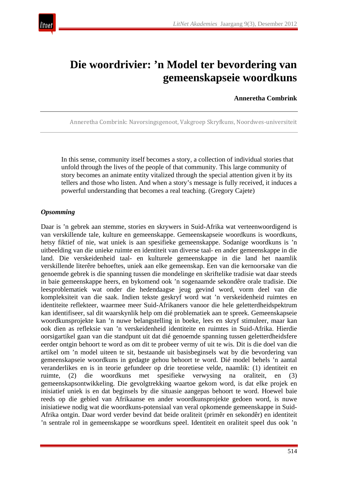

# **Die woordrivier: 'n Model ter bevordering van gemeenskapseie woordkuns**

#### **Anneretha Combrink**

Anneretha Combrink: Navorsingsgenoot, Vakgroep Skryfkuns, Noordwes-universiteit

In this sense, community itself becomes a story, a collection of individual stories that unfold through the lives of the people of that community. This large community of story becomes an animate entity vitalized through the special attention given it by its tellers and those who listen. And when a story's message is fully received, it induces a powerful understanding that becomes a real teaching. (Gregory Cajete)

#### *Opsomming*

Daar is 'n gebrek aan stemme, stories en skrywers in Suid-Afrika wat verteenwoordigend is van verskillende tale, kulture en gemeenskappe. Gemeenskapseie woordkuns is woordkuns, hetsy fiktief of nie, wat uniek is aan spesifieke gemeenskappe. Sodanige woordkuns is 'n uitbeelding van die unieke ruimte en identiteit van diverse taal- en ander gemeenskappe in die land. Die verskeidenheid taal- en kulturele gemeenskappe in die land het naamlik verskillende literêre behoeftes, uniek aan elke gemeenskap. Een van die kernoorsake van die genoemde gebrek is die spanning tussen die mondelinge en skriftelike tradisie wat daar steeds in baie gemeenskappe heers, en bykomend ook 'n sogenaamde sekondêre orale tradisie. Die leesproblematiek wat onder die hedendaagse jeug gevind word, vorm deel van die kompleksiteit van die saak. Indien tekste geskryf word wat 'n verskeidenheid ruimtes en identiteite reflekteer, waarmee meer Suid-Afrikaners vanoor die hele geletterdheidspektrum kan identifiseer, sal dit waarskynlik help om dié problematiek aan te spreek. Gemeenskapseie woordkunsprojekte kan 'n nuwe belangstelling in boeke, lees en skryf stimuleer, maar kan ook dien as refleksie van 'n verskeidenheid identiteite en ruimtes in Suid-Afrika. Hierdie oorsigartikel gaan van die standpunt uit dat dié genoemde spanning tussen geletterdheidsfere eerder ontgin behoort te word as om dit te probeer vermy of uit te wis. Dit is die doel van die artikel om 'n model uiteen te sit, bestaande uit basisbeginsels wat by die bevordering van gemeenskapseie woordkuns in gedagte gehou behoort te word. Dié model behels 'n aantal veranderlikes en is in teorie gefundeer op drie teoretiese velde, naamlik: (1) identiteit en ruimte, (2) die woordkuns met spesifieke verwysing na oraliteit, en (3) gemeenskapsontwikkeling. Die gevolgtrekking waartoe gekom word, is dat elke projek en inisiatief uniek is en dat beginsels by die situasie aangepas behoort te word. Hoewel baie reeds op die gebied van Afrikaanse en ander woordkunsprojekte gedoen word, is nuwe inisiatiewe nodig wat die woordkuns-potensiaal van veral opkomende gemeenskappe in Suid-Afrika ontgin. Daar word verder bevind dat beide oraliteit (primêr en sekondêr) en identiteit 'n sentrale rol in gemeenskappe se woordkuns speel. Identiteit en oraliteit speel dus ook 'n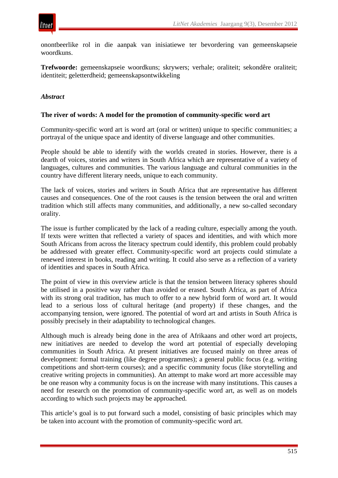

onontbeerlike rol in die aanpak van inisiatiewe ter bevordering van gemeenskapseie woordkuns.

**Trefwoorde:** gemeenskapseie woordkuns; skrywers; verhale; oraliteit; sekondêre oraliteit; identiteit; geletterdheid; gemeenskapsontwikkeling

#### *Abstract*

#### **The river of words: A model for the promotion of community-specific word art**

Community-specific word art is word art (oral or written) unique to specific communities; a portrayal of the unique space and identity of diverse language and other communities.

People should be able to identify with the worlds created in stories. However, there is a dearth of voices, stories and writers in South Africa which are representative of a variety of languages, cultures and communities. The various language and cultural communities in the country have different literary needs, unique to each community.

The lack of voices, stories and writers in South Africa that are representative has different causes and consequences. One of the root causes is the tension between the oral and written tradition which still affects many communities, and additionally, a new so-called secondary orality.

The issue is further complicated by the lack of a reading culture, especially among the youth. If texts were written that reflected a variety of spaces and identities, and with which more South Africans from across the literacy spectrum could identify, this problem could probably be addressed with greater effect. Community-specific word art projects could stimulate a renewed interest in books, reading and writing. It could also serve as a reflection of a variety of identities and spaces in South Africa.

The point of view in this overview article is that the tension between literacy spheres should be utilised in a positive way rather than avoided or erased. South Africa, as part of Africa with its strong oral tradition, has much to offer to a new hybrid form of word art. It would lead to a serious loss of cultural heritage (and property) if these changes, and the accompanying tension, were ignored. The potential of word art and artists in South Africa is possibly precisely in their adaptability to technological changes.

Although much is already being done in the area of Afrikaans and other word art projects, new initiatives are needed to develop the word art potential of especially developing communities in South Africa. At present initiatives are focused mainly on three areas of development: formal training (like degree programmes); a general public focus (e.g. writing competitions and short-term courses); and a specific community focus (like storytelling and creative writing projects in communities). An attempt to make word art more accessible may be one reason why a community focus is on the increase with many institutions. This causes a need for research on the promotion of community-specific word art, as well as on models according to which such projects may be approached.

This article's goal is to put forward such a model, consisting of basic principles which may be taken into account with the promotion of community-specific word art.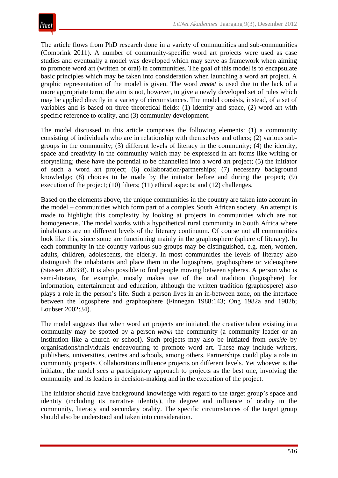The article flows from PhD research done in a variety of communities and sub-communities (Combrink 2011). A number of community-specific word art projects were used as case studies and eventually a model was developed which may serve as framework when aiming to promote word art (written or oral) in communities. The goal of this model is to encapsulate basic principles which may be taken into consideration when launching a word art project. A graphic representation of the model is given. The word *model* is used due to the lack of a more appropriate term; the aim is not, however, to give a newly developed set of rules which may be applied directly in a variety of circumstances. The model consists, instead, of a set of variables and is based on three theoretical fields: (1) identity and space, (2) word art with specific reference to orality, and (3) community development.

The model discussed in this article comprises the following elements: (1) a community consisting of individuals who are in relationship with themselves and others; (2) various subgroups in the community; (3) different levels of literacy in the community; (4) the identity, space and creativity in the community which may be expressed in art forms like writing or storytelling; these have the potential to be channelled into a word art project; (5) the initiator of such a word art project; (6) collaboration/partnerships; (7) necessary background knowledge; (8) choices to be made by the initiator before and during the project; (9) execution of the project; (10) filters; (11) ethical aspects; and (12) challenges.

Based on the elements above, the unique communities in the country are taken into account in the model – communities which form part of a complex South African society. An attempt is made to highlight this complexity by looking at projects in communities which are not homogeneous. The model works with a hypothetical rural community in South Africa where inhabitants are on different levels of the literacy continuum. Of course not all communities look like this, since some are functioning mainly in the graphosphere (sphere of literacy). In each community in the country various sub-groups may be distinguished, e.g. men, women, adults, children, adolescents, the elderly. In most communities the levels of literacy also distinguish the inhabitants and place them in the logosphere, graphosphere or videosphere (Stassen 2003:8). It is also possible to find people moving between spheres. A person who is semi-literate, for example, mostly makes use of the oral tradition (logosphere) for information, entertainment and education, although the written tradition (graphospere) also plays a role in the person's life. Such a person lives in an in-between zone, on the interface between the logosphere and graphosphere (Finnegan 1988:143; Ong 1982a and 1982b; Loubser 2002:34).

The model suggests that when word art projects are initiated, the creative talent existing in a community may be spotted by a person *within* the community (a community leader or an institution like a church or school). Such projects may also be initiated from *outside* by organisations/individuals endeavouring to promote word art. These may include writers, publishers, universities, centres and schools, among others. Partnerships could play a role in community projects. Collaborations influence projects on different levels. Yet whoever is the initiator, the model sees a participatory approach to projects as the best one, involving the community and its leaders in decision-making and in the execution of the project.

The initiator should have background knowledge with regard to the target group's space and identity (including its narrative identity), the degree and influence of orality in the community, literacy and secondary orality. The specific circumstances of the target group should also be understood and taken into consideration.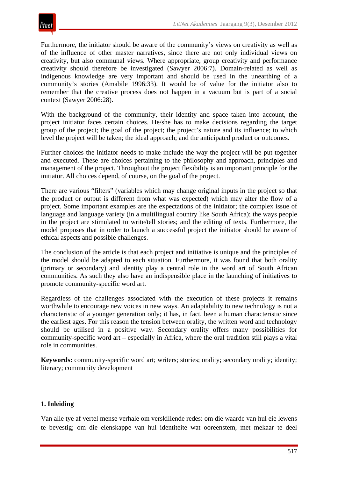

Furthermore, the initiator should be aware of the community's views on creativity as well as of the influence of other master narratives, since there are not only individual views on creativity, but also communal views. Where appropriate, group creativity and performance creativity should therefore be investigated (Sawyer 2006:7). Domain-related as well as indigenous knowledge are very important and should be used in the unearthing of a community's stories (Amabile 1996:33). It would be of value for the initiator also to remember that the creative process does not happen in a vacuum but is part of a social context (Sawyer 2006:28).

With the background of the community, their identity and space taken into account, the project initiator faces certain choices. He/she has to make decisions regarding the target group of the project; the goal of the project; the project's nature and its influence; to which level the project will be taken; the ideal approach; and the anticipated product or outcomes.

Further choices the initiator needs to make include the way the project will be put together and executed. These are choices pertaining to the philosophy and approach, principles and management of the project. Throughout the project flexibility is an important principle for the initiator. All choices depend, of course, on the goal of the project.

There are various "filters" (variables which may change original inputs in the project so that the product or output is different from what was expected) which may alter the flow of a project. Some important examples are the expectations of the initiator; the complex issue of language and language variety (in a multilingual country like South Africa); the ways people in the project are stimulated to write/tell stories; and the editing of texts. Furthermore, the model proposes that in order to launch a successful project the initiator should be aware of ethical aspects and possible challenges.

The conclusion of the article is that each project and initiative is unique and the principles of the model should be adapted to each situation. Furthermore, it was found that both orality (primary or secondary) and identity play a central role in the word art of South African communities. As such they also have an indispensible place in the launching of initiatives to promote community-specific word art.

Regardless of the challenges associated with the execution of these projects it remains worthwhile to encourage new voices in new ways. An adaptability to new technology is not a characteristic of a younger generation only; it has, in fact, been a human characteristic since the earliest ages. For this reason the tension between orality, the written word and technology should be utilised in a positive way. Secondary orality offers many possibilities for community-specific word art – especially in Africa, where the oral tradition still plays a vital role in communities.

**Keywords:** community-specific word art; writers; stories; orality; secondary orality; identity; literacy; community development

## **1. Inleiding**

Van alle tye af vertel mense verhale om verskillende redes: om die waarde van hul eie lewens te bevestig; om die eienskappe van hul identiteite wat ooreenstem, met mekaar te deel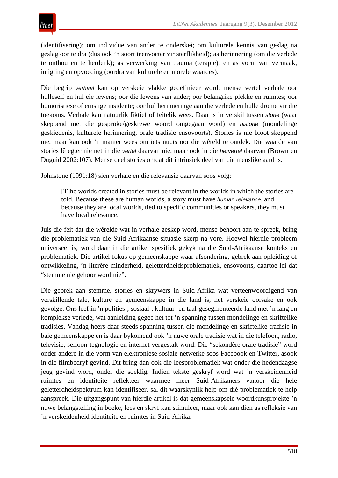(identifisering); om individue van ander te onderskei; om kulturele kennis van geslag na geslag oor te dra (dus ook 'n soort teenvoeter vir sterflikheid); as herinnering (om die verlede te onthou en te herdenk); as verwerking van trauma (terapie); en as vorm van vermaak, inligting en opvoeding (oordra van kulturele en morele waardes).

Die begrip *verhaal* kan op verskeie vlakke gedefinieer word: mense vertel verhale oor hulleself en hul eie lewens; oor die lewens van ander; oor belangrike plekke en ruimtes; oor humoristiese of ernstige insidente; oor hul herinneringe aan die verlede en hulle drome vir die toekoms. Verhale kan natuurlik fiktief of feitelik wees. Daar is 'n verskil tussen *storie* (waar skeppend met die gesproke/geskrewe woord omgegaan word) en *historie* (mondelinge geskiedenis, kulturele herinnering, orale tradisie ensovoorts). Stories is nie bloot skeppend nie, maar kan ook 'n manier wees om iets nuuts oor die wêreld te ontdek. Die waarde van stories lê egter nie net in die *vertel* daarvan nie, maar ook in die *hervertel* daarvan (Brown en Duguid 2002:107). Mense deel stories omdat dit intrinsiek deel van die menslike aard is.

Johnstone (1991:18) sien verhale en die relevansie daarvan soos volg:

[T]he worlds created in stories must be relevant in the worlds in which the stories are told. Because these are human worlds, a story must have *human relevance*, and because they are local worlds, tied to specific communities or speakers, they must have local relevance.

Juis die feit dat die wêrelde wat in verhale geskep word, mense behoort aan te spreek, bring die problematiek van die Suid-Afrikaanse situasie skerp na vore. Hoewel hierdie probleem universeel is, word daar in die artikel spesifiek gekyk na die Suid-Afrikaanse konteks en problematiek. Die artikel fokus op gemeenskappe waar afsondering, gebrek aan opleiding of ontwikkeling, 'n literêre minderheid, geletterdheidsproblematiek, ensovoorts, daartoe lei dat "stemme nie gehoor word nie".

Die gebrek aan stemme, stories en skrywers in Suid-Afrika wat verteenwoordigend van verskillende tale, kulture en gemeenskappe in die land is, het verskeie oorsake en ook gevolge. Ons leef in 'n polities-, sosiaal-, kultuur- en taal-gesegmenteerde land met 'n lang en komplekse verlede, wat aanleiding gegee het tot 'n spanning tussen mondelinge en skriftelike tradisies. Vandag heers daar steeds spanning tussen die mondelinge en skriftelike tradisie in baie gemeenskappe en is daar bykomend ook 'n nuwe orale tradisie wat in die telefoon, radio, televisie, selfoon-tegnologie en internet vergestalt word. Die "sekondêre orale tradisie" word onder andere in die vorm van elektroniese sosiale netwerke soos Facebook en Twitter, asook in die filmbedryf gevind. Dit bring dan ook die leesproblematiek wat onder die hedendaagse jeug gevind word, onder die soeklig. Indien tekste geskryf word wat 'n verskeidenheid ruimtes en identiteite reflekteer waarmee meer Suid-Afrikaners vanoor die hele geletterdheidspektrum kan identifiseer, sal dit waarskynlik help om dié problematiek te help aanspreek. Die uitgangspunt van hierdie artikel is dat gemeenskapseie woordkunsprojekte 'n nuwe belangstelling in boeke, lees en skryf kan stimuleer, maar ook kan dien as refleksie van 'n verskeidenheid identiteite en ruimtes in Suid-Afrika.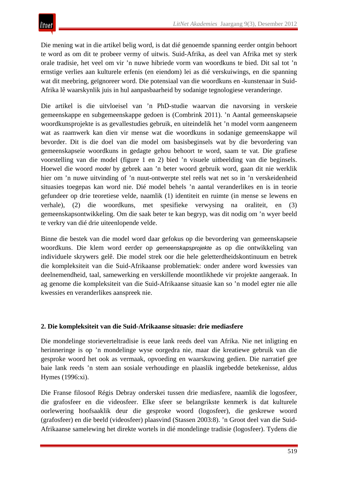Die mening wat in die artikel belig word, is dat dié genoemde spanning eerder ontgin behoort te word as om dit te probeer vermy of uitwis. Suid-Afrika, as deel van Afrika met sy sterk orale tradisie, het veel om vir 'n nuwe hibriede vorm van woordkuns te bied. Dit sal tot 'n ernstige verlies aan kulturele erfenis (en eiendom) lei as dié verskuiwings, en die spanning wat dit meebring, geïgnoreer word. Die potensiaal van die woordkuns en -kunstenaar in Suid-Afrika lê waarskynlik juis in hul aanpasbaarheid by sodanige tegnologiese veranderinge.

Die artikel is die uitvloeisel van 'n PhD-studie waarvan die navorsing in verskeie gemeenskappe en subgemeenskappe gedoen is (Combrink 2011). 'n Aantal gemeenskapseie woordkunsprojekte is as gevallestudies gebruik, en uiteindelik het 'n model vorm aangeneem wat as raamwerk kan dien vir mense wat die woordkuns in sodanige gemeenskappe wil bevorder. Dit is die doel van die model om basisbeginsels wat by die bevordering van gemeenskapseie woordkuns in gedagte gehou behoort te word, saam te vat. Die grafiese voorstelling van die model (figure 1 en 2) bied 'n visuele uitbeelding van die beginsels. Hoewel die woord *model* by gebrek aan 'n beter woord gebruik word, gaan dit nie werklik hier om 'n nuwe uitvinding of 'n nuut-ontwerpte stel reëls wat net so in 'n verskeidenheid situasies toegepas kan word nie. Dié model behels 'n aantal veranderlikes en is in teorie gefundeer op drie teoretiese velde, naamlik (1) identiteit en ruimte (in mense se lewens en verhale), (2) die woordkuns, met spesifieke verwysing na oraliteit, en (3) gemeenskapsontwikkeling. Om die saak beter te kan begryp, was dit nodig om 'n wyer beeld te verkry van dié drie uiteenlopende velde.

Binne die bestek van die model word daar gefokus op die bevordering van gemeenskapseie woordkuns. Die klem word eerder op *gemeenskapsprojekte* as op die ontwikkeling van individuele skrywers gelê. Die model strek oor die hele geletterdheidskontinuum en betrek die kompleksiteit van die Suid-Afrikaanse problematiek: onder andere word kwessies van deelnemendheid, taal, samewerking en verskillende moontlikhede vir projekte aangeraak. In ag genome die kompleksiteit van die Suid-Afrikaanse situasie kan so 'n model egter nie alle kwessies en veranderlikes aanspreek nie.

## **2. Die kompleksiteit van die Suid-Afrikaanse situasie: drie mediasfere**

Die mondelinge storieverteltradisie is eeue lank reeds deel van Afrika. Nie net inligting en herinneringe is op 'n mondelinge wyse oorgedra nie, maar die kreatiewe gebruik van die gesproke woord het ook as vermaak, opvoeding en waarskuwing gedien. Die narratief gee baie lank reeds 'n stem aan sosiale verhoudinge en plaaslik ingebedde betekenisse, aldus Hymes (1996:xi).

Die Franse filosoof Régis Debray onderskei tussen drie mediasfere, naamlik die logosfeer, die grafosfeer en die videosfeer. Elke sfeer se belangrikste kenmerk is dat kulturele oorlewering hoofsaaklik deur die gesproke woord (logosfeer), die geskrewe woord (grafosfeer) en die beeld (videosfeer) plaasvind (Stassen 2003:8). 'n Groot deel van die Suid-Afrikaanse samelewing het direkte wortels in dié mondelinge tradisie (logosfeer). Tydens die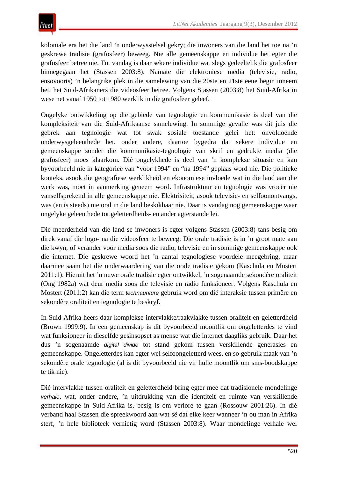koloniale era het die land 'n onderwysstelsel gekry; die inwoners van die land het toe na 'n geskrewe tradisie (grafosfeer) beweeg. Nie alle gemeenskappe en individue het egter die grafosfeer betree nie. Tot vandag is daar sekere individue wat slegs gedeeltelik die grafosfeer binnegegaan het (Stassen 2003:8). Namate die elektroniese media (televisie, radio, ensovoorts) 'n belangrike plek in die samelewing van die 20ste en 21ste eeue begin inneem het, het Suid-Afrikaners die videosfeer betree. Volgens Stassen (2003:8) het Suid-Afrika in wese net vanaf 1950 tot 1980 werklik in die grafosfeer geleef.

Ongelyke ontwikkeling op die gebiede van tegnologie en kommunikasie is deel van die kompleksiteit van die Suid-Afrikaanse samelewing. In sommige gevalle was dit juis die gebrek aan tegnologie wat tot swak sosiale toestande gelei het: onvoldoende onderwysgeleenthede het, onder andere, daartoe bygedra dat sekere individue en gemeenskappe sonder die kommunikasie-tegnologie van skrif en gedrukte media (die grafosfeer) moes klaarkom. Dié ongelykhede is deel van 'n komplekse situasie en kan byvoorbeeld nie in kategorieë van "voor 1994" en "na 1994" geplaas word nie. Die politieke konteks, asook die geografiese werklikheid en ekonomiese invloede wat in die land aan die werk was, moet in aanmerking geneem word. Infrastruktuur en tegnologie was vroeër nie vanselfsprekend in alle gemeenskappe nie. Elektrisiteit, asook televisie- en selfoonontvangs, was (en is steeds) nie oral in die land beskikbaar nie. Daar is vandag nog gemeenskappe waar ongelyke geleenthede tot geletterdheids- en ander agterstande lei.

Die meerderheid van die land se inwoners is egter volgens Stassen (2003:8) tans besig om direk vanaf die logo- na die videosfeer te beweeg. Die orale tradisie is in 'n groot mate aan die kwyn, of verander voor media soos die radio, televisie en in sommige gemeenskappe ook die internet. Die geskrewe woord het 'n aantal tegnologiese voordele meegebring, maar daarmee saam het die onderwaardering van die orale tradisie gekom (Kaschula en Mostert 2011:1). Hieruit het 'n nuwe orale tradisie egter ontwikkel, 'n sogenaamde sekondêre oraliteit (Ong 1982a) wat deur media soos die televisie en radio funksioneer. Volgens Kaschula en Mostert (2011:2) kan die term *technauriture* gebruik word om dié interaksie tussen primêre en sekondêre oraliteit en tegnologie te beskryf.

In Suid-Afrika heers daar komplekse intervlakke/raakvlakke tussen oraliteit en geletterdheid (Brown 1999:9). In een gemeenskap is dit byvoorbeeld moontlik om ongeletterdes te vind wat funksioneer in dieselfde gesinsopset as mense wat die internet daagliks gebruik. Daar het dus 'n sogenaamde *digital divide* tot stand gekom tussen verskillende generasies en gemeenskappe. Ongeletterdes kan egter wel selfoongeletterd wees, en so gebruik maak van 'n sekondêre orale tegnologie (al is dit byvoorbeeld nie vir hulle moontlik om sms-boodskappe te tik nie).

Dié intervlakke tussen oraliteit en geletterdheid bring egter mee dat tradisionele mondelinge *verhale*, wat, onder andere, 'n uitdrukking van die identiteit en ruimte van verskillende gemeenskappe in Suid-Afrika is, besig is om verlore te gaan (Rossouw 2001:26). In dié verband haal Stassen die spreekwoord aan wat sê dat elke keer wanneer 'n ou man in Afrika sterf, 'n hele biblioteek vernietig word (Stassen 2003:8). Waar mondelinge verhale wel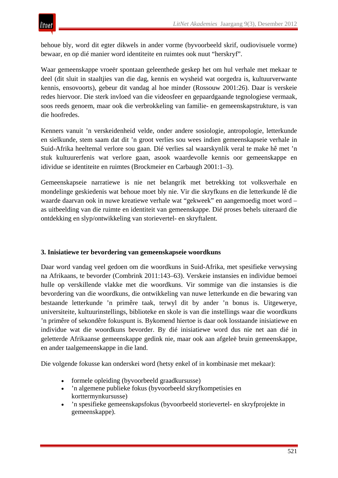behoue bly, word dit egter dikwels in ander vorme (byvoorbeeld skrif, oudiovisuele vorme) bewaar, en op dié manier word identiteite en ruimtes ook nuut "herskryf".

Waar gemeenskappe vroeër spontaan geleenthede geskep het om hul verhale met mekaar te deel (dit sluit in staaltjies van die dag, kennis en wysheid wat oorgedra is, kultuurverwante kennis, ensovoorts), gebeur dit vandag al hoe minder (Rossouw 2001:26). Daar is verskeie redes hiervoor. Die sterk invloed van die videosfeer en gepaardgaande tegnologiese vermaak, soos reeds genoem, maar ook die verbrokkeling van familie- en gemeenskapstrukture, is van die hoofredes.

Kenners vanuit 'n verskeidenheid velde, onder andere sosiologie, antropologie, letterkunde en sielkunde, stem saam dat dit 'n groot verlies sou wees indien gemeenskapseie verhale in Suid-Afrika heeltemal verlore sou gaan. Dié verlies sal waarskynlik veral te make hê met 'n stuk kultuurerfenis wat verlore gaan, asook waardevolle kennis oor gemeenskappe en idividue se identiteite en ruimtes (Brockmeier en Carbaugh 2001:1–3).

Gemeenskapseie narratiewe is nie net belangrik met betrekking tot volksverhale en mondelinge geskiedenis wat behoue moet bly nie. Vir die skryfkuns en die letterkunde lê die waarde daarvan ook in nuwe kreatiewe verhale wat "gekweek" en aangemoedig moet word – as uitbeelding van die ruimte en identiteit van gemeenskappe. Dié proses behels uiteraard die ontdekking en slyp/ontwikkeling van storievertel- en skryftalent.

## **3. Inisiatiewe ter bevordering van gemeenskapseie woordkuns**

Daar word vandag veel gedoen om die woordkuns in Suid-Afrika, met spesifieke verwysing na Afrikaans, te bevorder (Combrink 2011:143–63). Verskeie instansies en individue bemoei hulle op verskillende vlakke met die woordkuns. Vir sommige van die instansies is die bevordering van die woordkuns, die ontwikkeling van nuwe letterkunde en die bewaring van bestaande letterkunde 'n primêre taak, terwyl dit by ander 'n bonus is. Uitgewerye, universiteite, kultuurinstellings, biblioteke en skole is van die instellings waar die woordkuns 'n primêre of sekondêre fokuspunt is. Bykomend hiertoe is daar ook losstaande inisiatiewe en individue wat die woordkuns bevorder. By dié inisiatiewe word dus nie net aan dié in geletterde Afrikaanse gemeenskappe gedink nie, maar ook aan afgeleë bruin gemeenskappe, en ander taalgemeenskappe in die land.

Die volgende fokusse kan onderskei word (hetsy enkel of in kombinasie met mekaar):

- formele opleiding (byvoorbeeld graadkursusse)
- 'n algemene publieke fokus (byvoorbeeld skryfkompetisies en korttermynkursusse)
- 'n spesifieke gemeenskapsfokus (byvoorbeeld storievertel- en skryfprojekte in gemeenskappe).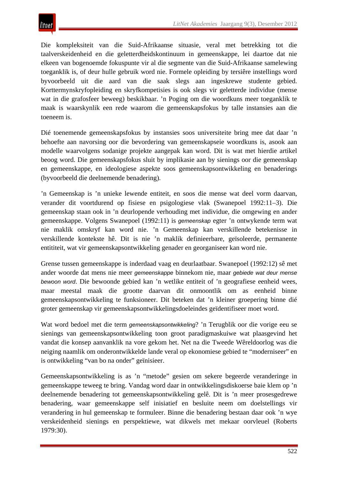Die kompleksiteit van die Suid-Afrikaanse situasie, veral met betrekking tot die taalverskeidenheid en die geletterdheidskontinuum in gemeenskappe, lei daartoe dat nie elkeen van bogenoemde fokuspunte vir al die segmente van die Suid-Afrikaanse samelewing toeganklik is, of deur hulle gebruik word nie. Formele opleiding by tersiêre instellings word byvoorbeeld uit die aard van die saak slegs aan ingeskrewe studente gebied. Korttermynskryfopleiding en skryfkompetisies is ook slegs vir geletterde individue (mense wat in die grafosfeer beweeg) beskikbaar. 'n Poging om die woordkuns meer toeganklik te maak is waarskynlik een rede waarom die gemeenskapsfokus by talle instansies aan die toeneem is.

Dié toenemende gemeenskapsfokus by instansies soos universiteite bring mee dat daar 'n behoefte aan navorsing oor die bevordering van gemeenskapseie woordkuns is, asook aan modelle waarvolgens sodanige projekte aangepak kan word. Dit is wat met hierdie artikel beoog word. Die gemeenskapsfokus sluit by implikasie aan by sienings oor die gemeenskap en gemeenskappe, en ideologiese aspekte soos gemeenskapsontwikkeling en benaderings (byvoorbeeld die deelnemende benadering).

'n Gemeenskap is 'n unieke lewende entiteit, en soos die mense wat deel vorm daarvan, verander dit voortdurend op fisiese en psigologiese vlak (Swanepoel 1992:11–3). Die gemeenskap staan ook in 'n deurlopende verhouding met individue, die omgewing en ander gemeenskappe. Volgens Swanepoel (1992:11) is *gemeenskap* egter 'n ontwykende term wat nie maklik omskryf kan word nie. 'n Gemeenskap kan verskillende betekenisse in verskillende kontekste hê. Dit is nie 'n maklik definieerbare, geïsoleerde, permanente entititeit, wat vir gemeenskapsontwikkeling genader en georganiseer kan word nie.

Grense tussen gemeenskappe is inderdaad vaag en deurlaatbaar. Swanepoel (1992:12) sê met ander woorde dat mens nie meer *gemeenskappe* binnekom nie, maar *gebiede wat deur mense bewoon word*. Die bewoonde gebied kan 'n wetlike entiteit of 'n geografiese eenheid wees, maar meestal maak die grootte daarvan dit onmoontlik om as eenheid binne gemeenskapsontwikkeling te funksioneer. Dit beteken dat 'n kleiner groepering binne dié groter gemeenskap vir gemeenskapsontwikkelingsdoeleindes geïdentifiseer moet word.

Wat word bedoel met die term *gemeenskapsontwikkeling*? 'n Terugblik oor die vorige eeu se sienings van gemeenskapsontwikkeling toon groot paradigmaskuiwe wat plaasgevind het vandat die konsep aanvanklik na vore gekom het. Net na die Tweede Wêreldoorlog was die neiging naamlik om onderontwikkelde lande veral op ekonomiese gebied te "moderniseer" en is ontwikkeling "van bo na onder" geïnisieer.

Gemeenskapsontwikkeling is as 'n "metode" gesien om sekere begeerde veranderinge in gemeenskappe teweeg te bring. Vandag word daar in ontwikkelingsdiskoerse baie klem op 'n deelnemende benadering tot gemeenskapsontwikkeling gelê. Dit is 'n meer prosesgedrewe benadering, waar gemeenskappe self inisiatief en besluite neem om doelstellings vir verandering in hul gemeenskap te formuleer. Binne die benadering bestaan daar ook 'n wye verskeidenheid sienings en perspektiewe, wat dikwels met mekaar oorvleuel (Roberts 1979:30).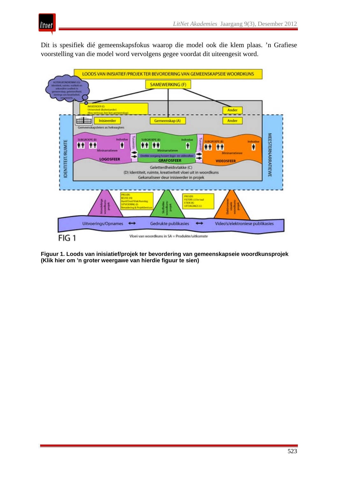

Dit is spesifiek dié gemeenskapsfokus waarop die model ook die klem plaas. 'n Grafiese voorstelling van die model word vervolgens gegee voordat dit uiteengesit word.



**Figuur 1. Loods van inisiatief/projek ter bevordering van gemeenskapseie woordkunsprojek (Klik hier om 'n groter weergawe van hierdie figuur te sien)**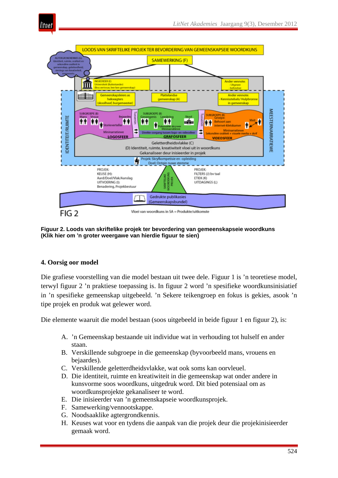



**Figuur 2. Loods van skriftelike projek ter bevordering van gemeenskapseie woordkuns (Klik hier om 'n groter weergawe van hierdie figuur te sien)**

#### **4. Oorsig oor model**

Die grafiese voorstelling van die model bestaan uit twee dele. Figuur 1 is 'n teoretiese model, terwyl figuur 2 'n praktiese toepassing is. In figuur 2 word 'n spesifieke woordkunsinisiatief in 'n spesifieke gemeenskap uitgebeeld. 'n Sekere teikengroep en fokus is gekies, asook 'n tipe projek en produk wat gelewer word.

Die elemente waaruit die model bestaan (soos uitgebeeld in beide figuur 1 en figuur 2), is:

- A. 'n Gemeenskap bestaande uit individue wat in verhouding tot hulself en ander staan.
- B. Verskillende subgroepe in die gemeenskap (byvoorbeeld mans, vrouens en bejaardes).
- C. Verskillende geletterdheidsvlakke, wat ook soms kan oorvleuel.
- D. Die identiteit, ruimte en kreatiwiteit in die gemeenskap wat onder andere in kunsvorme soos woordkuns, uitgedruk word. Dit bied potensiaal om as woordkunsprojekte gekanaliseer te word.
- E. Die inisieerder van 'n gemeenskapseie woordkunsprojek.
- F. Samewerking/vennootskappe.
- G. Noodsaaklike agtergrondkennis.
- H. Keuses wat voor en tydens die aanpak van die projek deur die projekinisieerder gemaak word.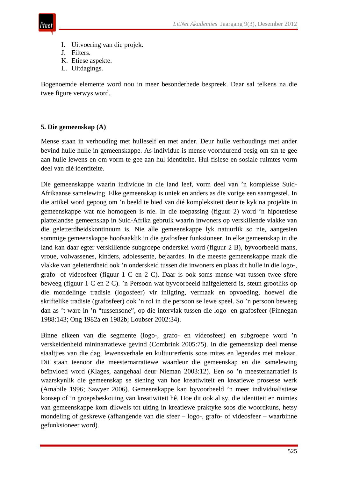

- I. Uitvoering van die projek.
- J. Filters.
- K. Etiese aspekte.
- L. Uitdagings.

Bogenoemde elemente word nou in meer besonderhede bespreek. Daar sal telkens na die twee figure verwys word.

#### **5. Die gemeenskap (A)**

Mense staan in verhouding met hulleself en met ander. Deur hulle verhoudings met ander bevind hulle hulle in gemeenskappe. As individue is mense voortdurend besig om sin te gee aan hulle lewens en om vorm te gee aan hul identiteite. Hul fisiese en sosiale ruimtes vorm deel van dié identiteite.

Die gemeenskappe waarin individue in die land leef, vorm deel van 'n komplekse Suid-Afrikaanse samelewing. Elke gemeenskap is uniek en anders as die vorige een saamgestel. In die artikel word gepoog om 'n beeld te bied van dié kompleksiteit deur te kyk na projekte in gemeenskappe wat nie homogeen is nie. In die toepassing (figuur 2) word 'n hipotetiese plattelandse gemeenskap in Suid-Afrika gebruik waarin inwoners op verskillende vlakke van die geletterdheidskontinuum is. Nie alle gemeenskappe lyk natuurlik so nie, aangesien sommige gemeenskappe hoofsaaklik in die grafosfeer funksioneer. In elke gemeenskap in die land kan daar egter verskillende subgroepe onderskei word (figuur 2 B), byvoorbeeld mans, vroue, volwassenes, kinders, adolessente, bejaardes. In die meeste gemeenskappe maak die vlakke van geletterdheid ook 'n onderskeid tussen die inwoners en plaas dit hulle in die logo-, grafo- of videosfeer (figuur 1 C en 2 C). Daar is ook soms mense wat tussen twee sfere beweeg (figuur 1 C en 2 C). 'n Persoon wat byvoorbeeld halfgeletterd is, steun grootliks op die mondelinge tradisie (logosfeer) vir inligting, vermaak en opvoeding, hoewel die skriftelike tradisie (grafosfeer) ook 'n rol in die persoon se lewe speel. So 'n persoon beweeg dan as 't ware in 'n "tussensone", op die intervlak tussen die logo- en grafosfeer (Finnegan 1988:143; Ong 1982a en 1982b; Loubser 2002:34).

Binne elkeen van die segmente (logo-, grafo- en videosfeer) en subgroepe word 'n verskeidenheid mininarratiewe gevind (Combrink 2005:75). In die gemeenskap deel mense staaltjies van die dag, lewensverhale en kultuurerfenis soos mites en legendes met mekaar. Dit staan teenoor die meesternarratiewe waardeur die gemeenskap en die samelewing beïnvloed word (Klages, aangehaal deur Nieman 2003:12). Een so 'n meesternarratief is waarskynlik die gemeenskap se siening van hoe kreatiwiteit en kreatiewe prosesse werk (Amabile 1996; Sawyer 2006). Gemeenskappe kan byvoorbeeld 'n meer individualistiese konsep of 'n groepsbeskouing van kreatiwiteit hê. Hoe dit ook al sy, die identiteit en ruimtes van gemeenskappe kom dikwels tot uiting in kreatiewe praktyke soos die woordkuns, hetsy mondeling of geskrewe (afhangende van die sfeer – logo-, grafo- of videosfeer – waarbinne gefunksioneer word).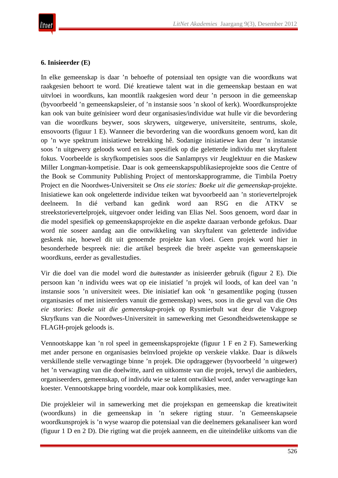## **6. Inisieerder (E)**

In elke gemeenskap is daar 'n behoefte of potensiaal ten opsigte van die woordkuns wat raakgesien behoort te word. Dié kreatiewe talent wat in die gemeenskap bestaan en wat uitvloei in woordkuns, kan moontlik raakgesien word deur 'n persoon in die gemeenskap (byvoorbeeld 'n gemeenskapsleier, of 'n instansie soos 'n skool of kerk). Woordkunsprojekte kan ook van buite geïnisieer word deur organisasies/individue wat hulle vir die bevordering van die woordkuns beywer, soos skrywers, uitgewerye, universiteite, sentrums, skole, ensovoorts (figuur 1 E). Wanneer die bevordering van die woordkuns genoem word, kan dit op 'n wye spektrum inisiatiewe betrekking hê. Sodanige inisiatiewe kan deur 'n instansie soos 'n uitgewery geloods word en kan spesifiek op die geletterde individu met skryftalent fokus. Voorbeelde is skryfkompetisies soos die Sanlamprys vir Jeuglektuur en die Maskew Miller Longman-kompetisie. Daar is ook gemeenskapspublikasieprojekte soos die Centre of the Book se Community Publishing Project of mentorskapprogramme, die Timbila Poetry Project en die Noordwes-Universiteit se *Ons eie stories: Boeke uit die gemeenskap*-projekte. Inisiatiewe kan ook ongeletterde individue teiken wat byvoorbeeld aan 'n storievertelprojek deelneem. In dié verband kan gedink word aan RSG en die ATKV streekstorievertelprojek, uitgevoer onder leiding van Elias Nel. Soos genoem, word daar in die model spesifiek op gemeenskapsprojekte en die aspekte daaraan verbonde gefokus. Daar word nie soseer aandag aan die ontwikkeling van skryftalent van geletterde individue geskenk nie, hoewel dit uit genoemde projekte kan vloei. Geen projek word hier in besonderhede bespreek nie: die artikel bespreek die breër aspekte van gemeenskapseie woordkuns, eerder as gevallestudies.

Vir die doel van die model word die *buitestander* as inisieerder gebruik (figuur 2 E). Die persoon kan 'n individu wees wat op eie inisiatief 'n projek wil loods, of kan deel van 'n instansie soos 'n universiteit wees. Die inisiatief kan ook 'n gesamentlike poging (tussen organisasies of met inisieerders vanuit die gemeenskap) wees, soos in die geval van die *Ons eie stories: Boeke uit die gemeenskap*-projek op Rysmierbult wat deur die Vakgroep Skryfkuns van die Noordwes-Universiteit in samewerking met Gesondheidswetenskappe se FLAGH-projek geloods is.

Vennootskappe kan 'n rol speel in gemeenskapsprojekte (figuur 1 F en 2 F). Samewerking met ander persone en organisasies beïnvloed projekte op verskeie vlakke. Daar is dikwels verskillende stelle verwagtinge binne 'n projek. Die opdraggewer (byvoorbeeld 'n uitgewer) het 'n verwagting van die doelwitte, aard en uitkomste van die projek, terwyl die aanbieders, organiseerders, gemeenskap, of individu wie se talent ontwikkel word, ander verwagtinge kan koester. Vennootskappe bring voordele, maar ook komplikasies, mee.

Die projekleier wil in samewerking met die projekspan en gemeenskap die kreatiwiteit (woordkuns) in die gemeenskap in 'n sekere rigting stuur. 'n Gemeenskapseie woordkunsprojek is 'n wyse waarop die potensiaal van die deelnemers gekanaliseer kan word (figuur 1 D en 2 D). Die rigting wat die projek aanneem, en die uiteindelike uitkoms van die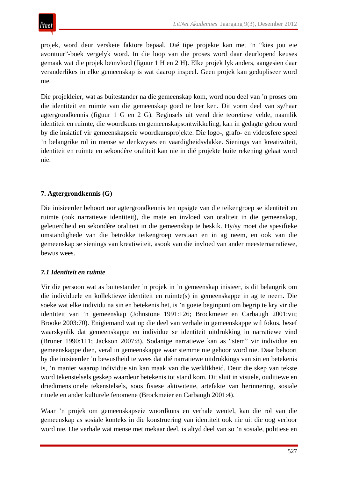projek, word deur verskeie faktore bepaal. Dié tipe projekte kan met 'n "kies jou eie avontuur"-boek vergelyk word. In die loop van die proses word daar deurlopend keuses gemaak wat die projek beïnvloed (figuur 1 H en 2 H). Elke projek lyk anders, aangesien daar veranderlikes in elke gemeenskap is wat daarop inspeel. Geen projek kan gedupliseer word nie.

Die projekleier, wat as buitestander na die gemeenskap kom, word nou deel van 'n proses om die identiteit en ruimte van die gemeenskap goed te leer ken. Dit vorm deel van sy/haar agtergrondkennis (figuur 1 G en 2 G). Beginsels uit veral drie teoretiese velde, naamlik identiteit en ruimte, die woordkuns en gemeenskapsontwikkeling, kan in gedagte gehou word by die insiatief vir gemeenskapseie woordkunsprojekte. Die logo-, grafo- en videosfere speel 'n belangrike rol in mense se denkwyses en vaardigheidsvlakke. Sienings van kreatiwiteit, identiteit en ruimte en sekondêre oraliteit kan nie in dié projekte buite rekening gelaat word nie.

# **7. Agtergrondkennis (G)**

Die inisieerder behoort oor agtergrondkennis ten opsigte van die teikengroep se identiteit en ruimte (ook narratiewe identiteit), die mate en invloed van oraliteit in die gemeenskap, geletterdheid en sekondêre oraliteit in die gemeenskap te beskik. Hy/sy moet die spesifieke omstandighede van die betrokke teikengroep verstaan en in ag neem, en ook van die gemeenskap se sienings van kreatiwiteit, asook van die invloed van ander meesternarratiewe, bewus wees.

# *7.1 Identiteit en ruimte*

Vir die persoon wat as buitestander 'n projek in 'n gemeenskap inisieer, is dit belangrik om die individuele en kollektiewe identiteit en ruimte(s) in gemeenskappe in ag te neem. Die soeke wat elke individu na sin en betekenis het, is 'n goeie beginpunt om begrip te kry vir die identiteit van 'n gemeenskap (Johnstone 1991:126; Brockmeier en Carbaugh 2001:vii; Brooke 2003:70). Enigiemand wat op die deel van verhale in gemeenskappe wil fokus, besef waarskynlik dat gemeenskappe en individue se identiteit uitdrukking in narratiewe vind (Bruner 1990:111; Jackson 2007:8). Sodanige narratiewe kan as "stem" vir individue en gemeenskappe dien, veral in gemeenskappe waar stemme nie gehoor word nie. Daar behoort by die inisieerder 'n bewustheid te wees dat dié narratiewe uitdrukkings van sin en betekenis is, 'n manier waarop individue sin kan maak van die werklikheid. Deur die skep van tekste word tekenstelsels geskep waardeur betekenis tot stand kom. Dit sluit in visuele, ouditiewe en driedimensionele tekenstelsels, soos fisiese aktiwiteite, artefakte van herinnering, sosiale rituele en ander kulturele fenomene (Brockmeier en Carbaugh 2001:4).

Waar 'n projek om gemeenskapseie woordkuns en verhale wentel, kan die rol van die gemeenskap as sosiale konteks in die konstruering van identiteit ook nie uit die oog verloor word nie. Die verhale wat mense met mekaar deel, is altyd deel van so 'n sosiale, politiese en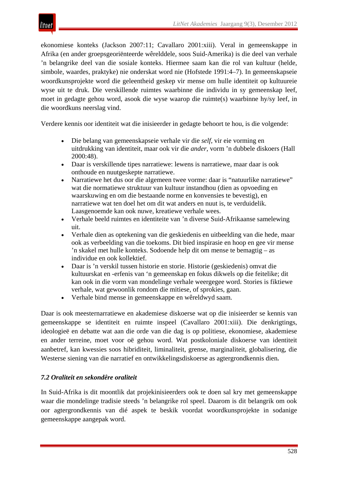

ekonomiese konteks (Jackson 2007:11; Cavallaro 2001:xiii). Veral in gemeenskappe in Afrika (en ander groepsgeoriënteerde wêrelddele, soos Suid-Amerika) is die deel van verhale 'n belangrike deel van die sosiale konteks. Hiermee saam kan die rol van kultuur (helde, simbole, waardes, praktyke) nie onderskat word nie (Hofstede 1991:4–7). In gemeenskapseie woordkunsprojekte word die geleentheid geskep vir mense om hulle identiteit op kultuureie wyse uit te druk. Die verskillende ruimtes waarbinne die individu in sy gemeenskap leef, moet in gedagte gehou word, asook die wyse waarop die ruimte(s) waarbinne hy/sy leef, in die woordkuns neerslag vind.

Verdere kennis oor identiteit wat die inisieerder in gedagte behoort te hou, is die volgende:

- Die belang van gemeenskapseie verhale vir die *self*, vir eie vorming en uitdrukking van identiteit, maar ook vir die *ander*, vorm 'n dubbele diskoers (Hall 2000:48).
- Daar is verskillende tipes narratiewe: lewens is narratiewe, maar daar is ook onthoude en nuutgeskepte narratiewe.
- Narratiewe het dus oor die algemeen twee vorme: daar is "natuurlike narratiewe" wat die normatiewe struktuur van kultuur instandhou (dien as opvoeding en waarskuwing en om die bestaande norme en konvensies te bevestig), en narratiewe wat ten doel het om dit wat anders en nuut is, te verduidelik. Laasgenoemde kan ook nuwe, kreatiewe verhale wees.
- Verhale beeld ruimtes en identiteite van 'n diverse Suid-Afrikaanse samelewing uit.
- Verhale dien as optekening van die geskiedenis en uitbeelding van die hede, maar ook as verbeelding van die toekoms. Dit bied inspirasie en hoop en gee vir mense 'n skakel met hulle konteks. Sodoende help dit om mense te bemagtig – as individue en ook kollektief.
- Daar is 'n verskil tussen historie en storie. Historie (geskiedenis) omvat die kultuurskat en -erfenis van 'n gemeenskap en fokus dikwels op die feitelike; dit kan ook in die vorm van mondelinge verhale weergegee word. Stories is fiktiewe verhale, wat gewoonlik rondom die mitiese, of sprokies, gaan.
- Verhale bind mense in gemeenskappe en wêreldwyd saam.

Daar is ook meesternarratiewe en akademiese diskoerse wat op die inisieerder se kennis van gemeenskappe se identiteit en ruimte inspeel (Cavallaro 2001:xiii). Die denkrigtings, ideologieë en debatte wat aan die orde van die dag is op politiese, ekonomiese, akademiese en ander terreine, moet voor oë gehou word. Wat postkoloniale diskoerse van identiteit aanbetref, kan kwessies soos hibriditeit, liminaliteit, grense, marginaliteit, globalisering, die Westerse siening van die narratief en ontwikkelingsdiskoerse as agtergrondkennis dien**.**

## *7.2 Oraliteit en sekondêre oraliteit*

In Suid-Afrika is dit moontlik dat projekinisieerders ook te doen sal kry met gemeenskappe waar die mondelinge tradisie steeds 'n belangrike rol speel. Daarom is dit belangrik om ook oor agtergrondkennis van dié aspek te beskik voordat woordkunsprojekte in sodanige gemeenskappe aangepak word.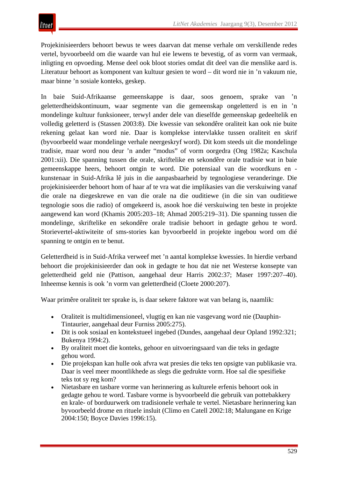Projekinisieerders behoort bewus te wees daarvan dat mense verhale om verskillende redes vertel, byvoorbeeld om die waarde van hul eie lewens te bevestig, of as vorm van vermaak, inligting en opvoeding. Mense deel ook bloot stories omdat dit deel van die menslike aard is. Literatuur behoort as komponent van kultuur gesien te word – dit word nie in 'n vakuum nie, maar binne 'n sosiale konteks, geskep.

In baie Suid-Afrikaanse gemeenskappe is daar, soos genoem, sprake van 'n geletterdheidskontinuum, waar segmente van die gemeenskap ongeletterd is en in 'n mondelinge kultuur funksioneer, terwyl ander dele van dieselfde gemeenskap gedeeltelik en volledig geletterd is (Stassen 2003:8). Die kwessie van sekondêre oraliteit kan ook nie buite rekening gelaat kan word nie. Daar is komplekse intervlakke tussen oraliteit en skrif (byvoorbeeld waar mondelinge verhale neergeskryf word). Dit kom steeds uit die mondelinge tradisie, maar word nou deur 'n ander "modus" of vorm oorgedra (Ong 1982a; Kaschula 2001:xii). Die spanning tussen die orale, skriftelike en sekondêre orale tradisie wat in baie gemeenskappe heers, behoort ontgin te word. Die potensiaal van die woordkuns en kunstenaar in Suid-Afrika lê juis in die aanpasbaarheid by tegnologiese veranderinge. Die projekinisieerder behoort hom of haar af te vra wat die implikasies van die verskuiwing vanaf die orale na diegeskrewe en van die orale na die ouditiewe (in die sin van ouditiewe tegnologie soos die radio) of omgekeerd is, asook hoe dié verskuiwing ten beste in projekte aangewend kan word (Khamis 2005:203–18; Ahmad 2005:219–31). Die spanning tussen die mondelinge, skriftelike en sekondêre orale tradisie behoort in gedagte gehou te word. Storievertel-aktiwiteite of sms-stories kan byvoorbeeld in projekte ingebou word om dié spanning te ontgin en te benut.

Geletterdheid is in Suid-Afrika verweef met 'n aantal komplekse kwessies. In hierdie verband behoort die projekinisieerder dan ook in gedagte te hou dat nie net Westerse konsepte van geletterdheid geld nie (Pattison, aangehaal deur Harris 2002:37; Maser 1997:207–40). Inheemse kennis is ook 'n vorm van geletterdheid (Cloete 2000:207).

Waar primêre oraliteit ter sprake is, is daar sekere faktore wat van belang is, naamlik:

- Oraliteit is multidimensioneel, vlugtig en kan nie vasgevang word nie (Dauphin-Tintaurier, aangehaal deur Furniss 2005:275).
- Dit is ook sosiaal en kontekstueel ingebed (Dundes, aangehaal deur Opland 1992:321; Bukenya 1994:2).
- By oraliteit moet die konteks, gehoor en uitvoeringsaard van die teks in gedagte gehou word.
- Die projekspan kan hulle ook afvra wat presies die teks ten opsigte van publikasie vra. Daar is veel meer moontlikhede as slegs die gedrukte vorm. Hoe sal die spesifieke teks tot sy reg kom?
- Nietasbare en tasbare vorme van herinnering as kulturele erfenis behoort ook in gedagte gehou te word. Tasbare vorme is byvoorbeeld die gebruik van pottebakkery en krale- of borduurwerk om tradisionele verhale te vertel. Nietasbare herinnering kan byvoorbeeld drome en rituele insluit (Climo en Catell 2002:18; Malungane en Krige 2004:150; Boyce Davies 1996:15).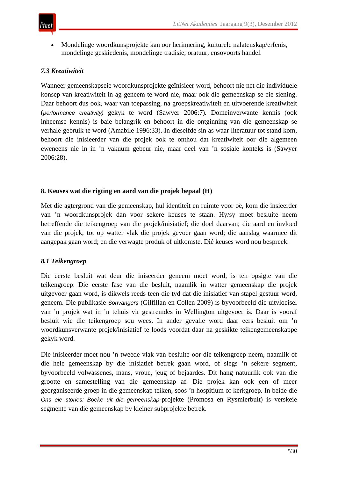• Mondelinge woordkunsprojekte kan oor herinnering, kulturele nalatenskap/erfenis, mondelinge geskiedenis, mondelinge tradisie, oratuur, ensovoorts handel.

# *7.3 Kreatiwiteit*

Wanneer gemeenskapseie woordkunsprojekte geïnisieer word, behoort nie net die individuele konsep van kreatiwiteit in ag geneem te word nie, maar ook die gemeenskap se eie siening. Daar behoort dus ook, waar van toepassing, na groepskreatiwiteit en uitvoerende kreatiwiteit (*performance creativity)* gekyk te word (Sawyer 2006:7)*.* Domeinverwante kennis (ook inheemse kennis) is baie belangrik en behoort in die ontginning van die gemeenskap se verhale gebruik te word (Amabile 1996:33). In dieselfde sin as waar literatuur tot stand kom, behoort die inisieerder van die projek ook te onthou dat kreatiwiteit oor die algemeen eweneens nie in in 'n vakuum gebeur nie, maar deel van 'n sosiale konteks is (Sawyer 2006:28).

## **8. Keuses wat die rigting en aard van die projek bepaal (H)**

Met die agtergrond van die gemeenskap, hul identiteit en ruimte voor oë, kom die insieerder van 'n woordkunsprojek dan voor sekere keuses te staan. Hy/sy moet besluite neem betreffende die teikengroep van die projek/inisiatief; die doel daarvan; die aard en invloed van die projek; tot op watter vlak die projek gevoer gaan word; die aanslag waarmee dit aangepak gaan word; en die verwagte produk of uitkomste. Dié keuses word nou bespreek.

## *8.1 Teikengroep*

Die eerste besluit wat deur die iniseerder geneem moet word, is ten opsigte van die teikengroep. Die eerste fase van die besluit, naamlik in watter gemeenskap die projek uitgevoer gaan word, is dikwels reeds teen die tyd dat die inisiatief van stapel gestuur word, geneem. Die publikasie *Sonvangers* (Gilfillan en Collen 2009) is byvoorbeeld die uitvloeisel van 'n projek wat in 'n tehuis vir gestremdes in Wellington uitgevoer is. Daar is vooraf besluit wie die teikengroep sou wees. In ander gevalle word daar eers besluit om 'n woordkunsverwante projek/inisiatief te loods voordat daar na geskikte teikengemeenskappe gekyk word.

Die inisieerder moet nou 'n tweede vlak van besluite oor die teikengroep neem, naamlik of die hele gemeenskap by die inisiatief betrek gaan word, of slegs 'n sekere segment, byvoorbeeld volwassenes, mans, vroue, jeug of bejaardes. Dit hang natuurlik ook van die grootte en samestelling van die gemeenskap af. Die projek kan ook een of meer georganiseerde groep in die gemeenskap teiken, soos 'n hospitium of kerkgroep. In beide die *Ons eie stories: Boeke uit die gemeenskap*-projekte (Promosa en Rysmierbult) is verskeie segmente van die gemeenskap by kleiner subprojekte betrek.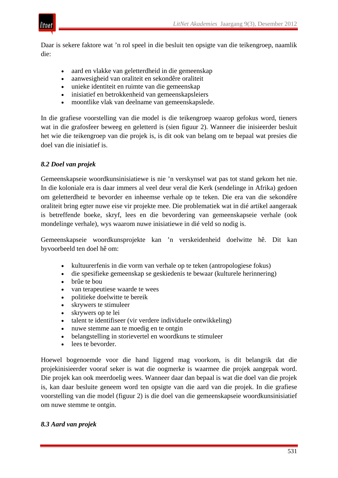

Daar is sekere faktore wat 'n rol speel in die besluit ten opsigte van die teikengroep, naamlik die:

- aard en vlakke van geletterdheid in die gemeenskap
- aanwesigheid van oraliteit en sekondêre oraliteit
- unieke identiteit en ruimte van die gemeenskap
- inisiatief en betrokkenheid van gemeenskapsleiers
- moontlike vlak van deelname van gemeenskapslede.

In die grafiese voorstelling van die model is die teikengroep waarop gefokus word, tieners wat in die grafosfeer beweeg en geletterd is (sien figuur 2). Wanneer die inisieerder besluit het wie die teikengroep van die projek is, is dit ook van belang om te bepaal wat presies die doel van die inisiatief is.

#### *8.2 Doel van projek*

Gemeenskapseie woordkunsinisiatiewe is nie 'n verskynsel wat pas tot stand gekom het nie. In die koloniale era is daar immers al veel deur veral die Kerk (sendelinge in Afrika) gedoen om geletterdheid te bevorder en inheemse verhale op te teken. Die era van die sekondêre oraliteit bring egter nuwe eise vir projekte mee. Die problematiek wat in dié artikel aangeraak is betreffende boeke, skryf, lees en die bevordering van gemeenskapseie verhale (ook mondelinge verhale), wys waarom nuwe inisiatiewe in dié veld so nodig is.

Gemeenskapseie woordkunsprojekte kan 'n verskeidenheid doelwitte hê. Dit kan byvoorbeeld ten doel hê om:

- kultuurerfenis in die vorm van verhale op te teken (antropologiese fokus)
- die spesifieke gemeenskap se geskiedenis te bewaar (kulturele herinnering)
- brûe te bou
- van terapeutiese waarde te wees
- politieke doelwitte te bereik
- skrywers te stimuleer
- skrywers op te lei
- talent te identifiseer (vir verdere individuele ontwikkeling)
- nuwe stemme aan te moedig en te ontgin
- belangstelling in storievertel en woordkuns te stimuleer
- lees te bevorder.

Hoewel bogenoemde voor die hand liggend mag voorkom, is dit belangrik dat die projekinisieerder vooraf seker is wat die oogmerke is waarmee die projek aangepak word. Die projek kan ook meerdoelig wees. Wanneer daar dan bepaal is wat die doel van die projek is, kan daar besluite geneem word ten opsigte van die aard van die projek. In die grafiese voorstelling van die model (figuur 2) is die doel van die gemeenskapseie woordkunsinisiatief om nuwe stemme te ontgin.

#### *8.3 Aard van projek*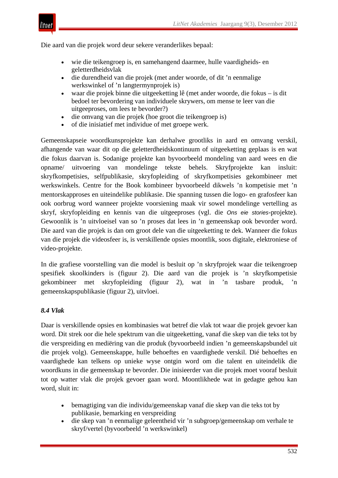

Die aard van die projek word deur sekere veranderlikes bepaal:

- wie die teikengroep is, en samehangend daarmee, hulle vaardigheids- en geletterdheidsvlak
- die durendheid van die projek (met ander woorde, of dit 'n eenmalige werkswinkel of 'n langtermynprojek is)
- waar die projek binne die uitgeeketting lê (met ander woorde, die fokus is dit bedoel ter bevordering van individuele skrywers, om mense te leer van die uitgeeproses, om lees te bevorder?)
- die omvang van die projek (hoe groot die teikengroep is)
- of die inisiatief met individue of met groepe werk.

Gemeenskapseie woordkunsprojekte kan derhalwe grootliks in aard en omvang verskil, afhangende van waar dit op die geletterdheidskontinuum of uitgeeketting geplaas is en wat die fokus daarvan is. Sodanige projekte kan byvoorbeeld mondeling van aard wees en die opname/ uitvoering van mondelinge tekste behels. Skryfprojekte kan insluit: skryfkompetisies, selfpublikasie, skryfopleiding of skryfkompetisies gekombineer met werkswinkels. Centre for the Book kombineer byvoorbeeld dikwels 'n kompetisie met 'n mentorskapproses en uiteindelike publikasie. Die spanning tussen die logo- en grafosfeer kan ook oorbrug word wanneer projekte voorsiening maak vir sowel mondelinge vertelling as skryf, skryfopleiding en kennis van die uitgeeproses (vgl. die *Ons eie stories*-projekte). Gewoonlik is 'n uitvloeisel van so 'n proses dat lees in 'n gemeenskap ook bevorder word. Die aard van die projek is dan om groot dele van die uitgeeketting te dek. Wanneer die fokus van die projek die videosfeer is, is verskillende opsies moontlik, soos digitale, elektroniese of video-projekte.

In die grafiese voorstelling van die model is besluit op 'n skryfprojek waar die teikengroep spesifiek skoolkinders is (figuur 2). Die aard van die projek is 'n skryfkompetisie gekombineer met skryfopleiding (figuur 2), wat in 'n tasbare produk, 'n gemeenskapspublikasie (figuur 2), uitvloei.

#### *8.4 Vlak*

Daar is verskillende opsies en kombinasies wat betref die vlak tot waar die projek gevoer kan word. Dit strek oor die hele spektrum van die uitgeeketting, vanaf die skep van die teks tot by die verspreiding en mediëring van die produk (byvoorbeeld indien 'n gemeenskapsbundel uit die projek volg). Gemeenskappe, hulle behoeftes en vaardighede verskil. Dié behoeftes en vaardighede kan telkens op unieke wyse ontgin word om die talent en uiteindelik die woordkuns in die gemeenskap te bevorder. Die inisieerder van die projek moet vooraf besluit tot op watter vlak die projek gevoer gaan word. Moontlikhede wat in gedagte gehou kan word, sluit in:

- bemagtiging van die individu/gemeenskap vanaf die skep van die teks tot by publikasie, bemarking en verspreiding
- die skep van 'n eenmalige geleentheid vir 'n subgroep/gemeenskap om verhale te skryf/vertel (byvoorbeeld 'n werkswinkel)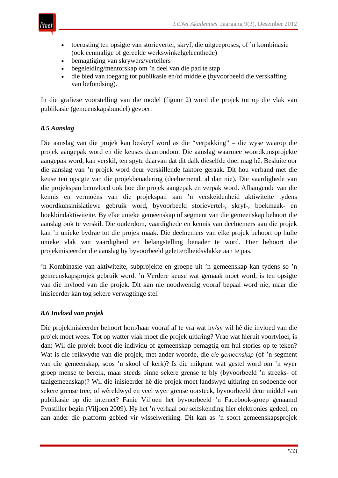

- toerusting ten opsigte van storievertel, skryf, die uitgeeproses, of 'n kombinasie (ook eenmalige of gereelde werkswinkelgeleenthede)
- bemagtiging van skrywers/vertellers
- begeleiding/mentorskap om 'n deel van die pad te stap
- die bied van toegang tot publikasie en/of middele (byvoorbeeld die verskaffing van befondsing).

In die grafiese voorstelling van die model (figuur 2) word die projek tot op die vlak van publikasie (gemeenskapsbundel) gevoer.

#### *8.5 Aanslag*

Die aanslag van die projek kan beskryf word as die "verpakking" – die wyse waarop die projek aangepak word en die keuses daarrondom. Die aanslag waarmee woordkunsprojekte aangepak word, kan verskil, ten spyte daarvan dat dit dalk dieselfde doel mag hê. Besluite oor die aanslag van 'n projek word deur verskillende faktore geraak. Dit hou verband met die keuse ten opsigte van die projekbenadering (deelnemend, al dan nie). Die vaardighede van die projekspan beïnvloed ook hoe die projek aangepak en verpak word. Afhangende van die kennis en vermoëns van die projekspan kan 'n verskeidenheid aktiwiteite tydens woordkunsinisiatiewe gebruik word, byvoorbeeld storievertel-, skryf-, boekmaak- en boekbindaktiwiteite. By elke unieke gemeenskap of segment van die gemeenskap behoort die aanslag ook te verskil. Die ouderdom, vaardighede en kennis van deelnemers aan die projek kan 'n unieke bydrae tot die projek maak. Die deelnemers van elke projek behoort op hulle unieke vlak van vaardigheid en belangstelling benader te word. Hier behoort die projekinisieerder die aanslag by byvoorbeeld geletterdheidsvlakke aan te pas.

'n Kombinasie van aktiwiteite, subprojekte en groepe uit 'n gemeenskap kan tydens so 'n gemeenskapsprojek gebruik word. 'n Verdere keuse wat gemaak moet word, is ten opsigte van die invloed van die projek. Dit kan nie noodwendig vooraf bepaal word nie, maar die inisieerder kan tog sekere verwagtinge stel.

## *8.6 Invloed van projek*

Die projekinisieerder behoort hom/haar vooraf af te vra wat hy/sy wil hê die invloed van die projek moet wees. Tot op watter vlak moet die projek uitkring? Vrae wat hieruit voortvloei, is dan: Wil die projek bloot die individu of gemeenskap bemagtig om hul stories op te teken? Wat is die reikwydte van die projek, met ander woorde, die *eie gemeenskap* (of 'n segment van die gemeenskap, soos 'n skool of kerk)? Is die mikpunt wat gestel word om 'n wyer groep mense te bereik, maar steeds binne sekere grense te bly (byvoorbeeld 'n streeks- of taalgemeenskap)? Wil die inisieerder hê die projek moet landswyd uitkring en sodoende oor sekere grense tree; of wêreldwyd en veel wyer grense oorsteek, byvoorbeeld deur middel van publikasie op die internet? Fanie Viljoen het byvoorbeeld 'n Facebook-groep genaamd Pynstiller begin (Viljoen 2009). Hy het 'n verhaal oor selfskending hier elektronies gedeel, en aan ander die platform gebied vir wisselwerking. Dit kan as 'n soort gemeenskapsprojek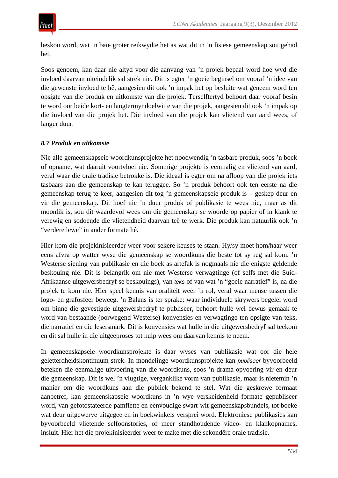beskou word, wat 'n baie groter reikwydte het as wat dit in 'n fisiese gemeenskap sou gehad het.

Soos genoem, kan daar nie altyd voor die aanvang van 'n projek bepaal word hoe wyd die invloed daarvan uiteindelik sal strek nie. Dit is egter 'n goeie beginsel om vooraf 'n idee van die gewenste invloed te hê, aangesien dit ook 'n impak het op besluite wat geneem word ten opsigte van die produk en uitkomste van die projek. Terselftertyd behoort daar vooraf besin te word oor beide kort- en langtermyndoelwitte van die projek, aangesien dit ook 'n impak op die invloed van die projek het. Die invloed van die projek kan vlietend van aard wees, of langer duur.

# *8.7 Produk en uitkomste*

Nie alle gemeenskapseie woordkunsprojekte het noodwendig 'n tasbare produk, soos 'n boek of opname, wat daaruit voortvloei nie. Sommige projekte is eenmalig en vlietend van aard, veral waar die orale tradisie betrokke is. Die ideaal is egter om na afloop van die projek iets tasbaars aan die gemeenskap te kan teruggee. So 'n produk behoort ook ten eerste na die gemeenskap terug te keer, aangesien dit tog 'n gemeenskapseie produk is – geskep deur en vir die gemeenskap. Dit hoef nie 'n duur produk of publikasie te wees nie, maar as dit moonlik is, sou dit waardevol wees om die gemeenskap se woorde op papier of in klank te verewig en sodoende die vlietendheid daarvan teë te werk. Die produk kan natuurlik ook 'n "verdere lewe" in ander formate hê.

Hier kom die projekinisieerder weer voor sekere keuses te staan. Hy/sy moet hom/haar weer eens afvra op watter wyse die gemeenskap se woordkuns die beste tot sy reg sal kom. 'n Westerse siening van publikasie en die boek as artefak is nogmaals nie die enigste geldende beskouing nie. Dit is belangrik om nie met Westerse verwagtinge (of selfs met die Suid-Afrikaanse uitgewersbedryf se beskouings), van *teks* of van wat 'n "goeie narratief" is, na die projek te kom nie. Hier speel kennis van oraliteit weer 'n rol, veral waar mense tussen die logo- en grafosfeer beweeg. 'n Balans is ter sprake: waar individuele skrywers begelei word om binne die gevestigde uitgewersbedryf te publiseer, behoort hulle wel bewus gemaak te word van bestaande (oorwegend Westerse) konvensies en verwagtinge ten opsigte van teks, die narratief en die lesersmark. Dit is konvensies wat hulle in die uitgewersbedryf sal teëkom en dit sal hulle in die uitgeeproses tot hulp wees om daarvan kennis te neem.

In gemeenskapseie woordkunsprojekte is daar wyses van publikasie wat oor die hele geletterdheidskontinuum strek. In mondelinge woordkunsprojekte kan *publiseer* byvoorbeeld beteken die eenmalige uitvoering van die woordkuns, soos 'n drama-opvoering vir en deur die gemeenskap. Dit is wel 'n vlugtige, verganklike vorm van publikasie, maar is nietemin 'n manier om die woordkuns aan die publiek bekend te stel. Wat die geskrewe formaat aanbetref, kan gemeenskapseie woordkuns in 'n wye verskeidenheid formate gepubliseer word, van gefotostateerde pamflette en eenvoudige swart-wit gemeenskapsbundels, tot boeke wat deur uitgewerye uitgegee en in boekwinkels versprei word. Elektroniese publikasies kan byvoorbeeld vlietende selfoonstories, of meer standhoudende video- en klankopnames, insluit. Hier het die projekinisieerder weer te make met die sekondêre orale tradisie.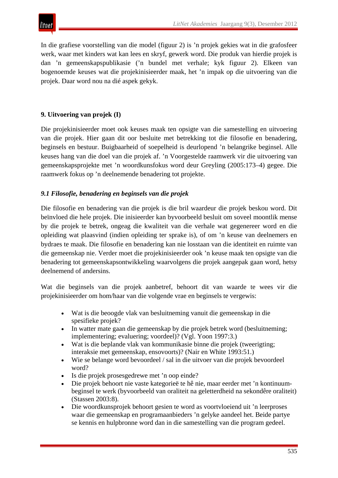In die grafiese voorstelling van die model (figuur 2) is 'n projek gekies wat in die grafosfeer werk, waar met kinders wat kan lees en skryf, gewerk word. Die produk van hierdie projek is dan 'n gemeenskapspublikasie ('n bundel met verhale; kyk figuur 2). Elkeen van bogenoemde keuses wat die projekinisieerder maak, het 'n impak op die uitvoering van die projek. Daar word nou na dié aspek gekyk.

#### **9. Uitvoering van projek (I)**

itnet

Die projekinisieerder moet ook keuses maak ten opsigte van die samestelling en uitvoering van die projek. Hier gaan dit oor besluite met betrekking tot die filosofie en benadering, beginsels en bestuur. Buigbaarheid of soepelheid is deurlopend 'n belangrike beginsel. Alle keuses hang van die doel van die projek af. 'n Voorgestelde raamwerk vir die uitvoering van gemeenskapsprojekte met 'n woordkunsfokus word deur Greyling (2005:173–4) gegee. Die raamwerk fokus op 'n deelnemende benadering tot projekte.

## *9.1 Filosofie, benadering en beginsels van die projek*

Die filosofie en benadering van die projek is die bril waardeur die projek beskou word. Dit beïnvloed die hele projek. Die inisieerder kan byvoorbeeld besluit om soveel moontlik mense by die projek te betrek, ongeag die kwaliteit van die verhale wat gegenereer word en die opleiding wat plaasvind (indien opleiding ter sprake is), of om 'n keuse van deelnemers en bydraes te maak. Die filosofie en benadering kan nie losstaan van die identiteit en ruimte van die gemeenskap nie. Verder moet die projekinisieerder ook 'n keuse maak ten opsigte van die benadering tot gemeenskapsontwikkeling waarvolgens die projek aangepak gaan word, hetsy deelnemend of andersins.

Wat die beginsels van die projek aanbetref, behoort dit van waarde te wees vir die projekinisieerder om hom/haar van die volgende vrae en beginsels te vergewis:

- Wat is die beoogde vlak van besluitneming vanuit die gemeenskap in die spesifieke projek?
- In watter mate gaan die gemeenskap by die projek betrek word (besluitneming; implementering; evaluering; voordeel)? (Vgl. Yoon 1997:3.)
- Wat is die beplande vlak van kommunikasie binne die projek (tweerigting; interaksie met gemeenskap, ensovoorts)? (Nair en White 1993:51.)
- Wie se belange word bevoordeel / sal in die uitvoer van die projek bevoordeel word?
- Is die projek prosesgedrewe met 'n oop einde?
- Die projek behoort nie vaste kategorieë te hê nie, maar eerder met 'n kontinuumbeginsel te werk (byvoorbeeld van oraliteit na geletterdheid na sekondêre oraliteit) (Stassen 2003:8).
- Die woordkunsprojek behoort gesien te word as voortvloeiend uit 'n leerproses waar die gemeenskap en programaanbieders 'n gelyke aandeel het. Beide partye se kennis en hulpbronne word dan in die samestelling van die program gedeel.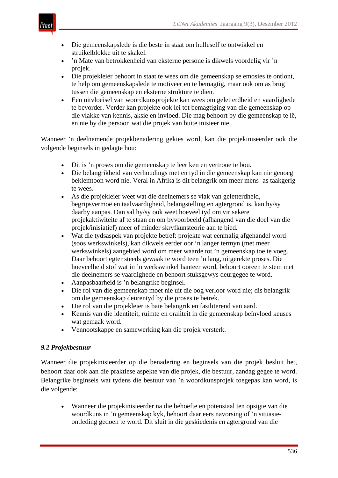

- Die gemeenskapslede is die beste in staat om hulleself te ontwikkel en struikelblokke uit te skakel.
- 'n Mate van betrokkenheid van eksterne persone is dikwels voordelig vir 'n projek.
- Die projekleier behoort in staat te wees om die gemeenskap se emosies te ontlont, te help om gemeenskapslede te motiveer en te bemagtig, maar ook om as brug tussen die gemeenskap en eksterne strukture te dien.
- Een uitvloeisel van woordkunsprojekte kan wees om geletterdheid en vaardighede te bevorder. Verder kan projekte ook lei tot bemagtiging van die gemeenskap op die vlakke van kennis, aksie en invloed. Die mag behoort by die gemeenskap te lê, en nie by die persoon wat die projek van buite inisieer nie.

Wanneer 'n deelnemende projekbenadering gekies word, kan die projekiniseerder ook die volgende beginsels in gedagte hou:

- Dit is 'n proses om die gemeenskap te leer ken en vertroue te bou.
- Die belangrikheid van verhoudings met en tyd in die gemeenskap kan nie genoeg beklemtoon word nie. Veral in Afrika is dit belangrik om meer mens- as taakgerig te wees.
- As die projekleier weet wat die deelnemers se vlak van geletterdheid, begripsvermoë en taalvaardigheid, belangstelling en agtergrond is, kan hy/sy daarby aanpas. Dan sal hy/sy ook weet hoeveel tyd om vir sekere projekaktiwiteite af te staan en om byvoorbeeld (afhangend van die doel van die projek/inisiatief) meer of minder skryfkunsteorie aan te bied.
- Wat die tydsaspek van projekte betref: projekte wat eenmalig afgehandel word (soos werkswinkels), kan dikwels eerder oor 'n langer termyn (met meer werkswinkels) aangebied word om meer waarde tot 'n gemeenskap toe te voeg. Daar behoort egter steeds gewaak te word teen 'n lang, uitgerekte proses. Die hoeveelheid stof wat in 'n werkswinkel hanteer word, behoort ooreen te stem met die deelnemers se vaardighede en behoort stuksgewys deurgegee te word.
- Aanpasbaarheid is 'n belangrike beginsel.
- Die rol van die gemeenskap moet nie uit die oog verloor word nie; dis belangrik om die gemeenskap deurentyd by die proses te betrek.
- Die rol van die projekleier is baie belangrik en fasiliterend van aard.
- Kennis van die identiteit, ruimte en oraliteit in die gemeenskap beïnvloed keuses wat gemaak word.
- Vennootskappe en samewerking kan die projek versterk.

# *9.2 Projekbestuur*

Wanneer die projekinisieerder op die benadering en beginsels van die projek besluit het, behoort daar ook aan die praktiese aspekte van die projek, die bestuur, aandag gegee te word. Belangrike beginsels wat tydens die bestuur van 'n woordkunsprojek toegepas kan word, is die volgende:

• Wanneer die projekinisieerder na die behoefte en potensiaal ten opsigte van die woordkuns in 'n gemeenskap kyk, behoort daar eers navorsing of 'n situasieontleding gedoen te word. Dit sluit in die geskiedenis en agtergrond van die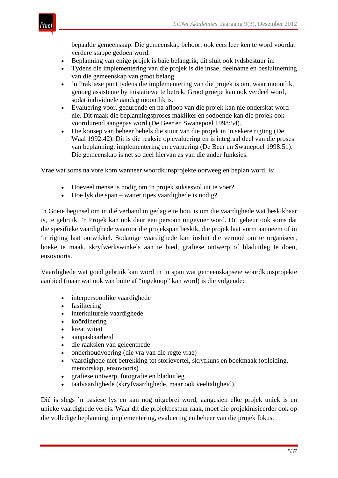

bepaalde gemeenskap. Die gemeenskap behoort ook eers leer ken te word voordat verdere stappe gedoen word.

- Beplanning van enige projek is baie belangrik; dit sluit ook tydsbestuur in.
- Tydens die implementering van die projek is die insae, deelname en besluitneming van die gemeenskap van groot belang.
- 'n Praktiese punt tydens die implementering van die projek is om, waar moontlik, genoeg assistente by inisiatiewe te betrek. Groot groepe kan ook verdeel word, sodat individuele aandag moontlik is.
- Evaluering voor, gedurende en na afloop van die projek kan nie onderskat word nie. Dit maak die beplanningsproses makliker en sodoende kan die projek ook voortdurend aangepas word (De Beer en Swanepoel 1998:54).
- Die konsep van beheer behels die stuur van die projek in 'n sekere rigting (De Waal 1992:42). Dit is die reaksie op evaluering en is integraal deel van die proses van beplanning, implementering en evaluering (De Beer en Swanepoel 1998:51). Die gemeenskap is net so deel hiervan as van die ander funksies.

Vrae wat soms na vore kom wanneer woordkunsprojekte oorweeg en beplan word, is:

- Hoeveel mense is nodig om 'n projek suksesvol uit te voer?
- Hoe lyk die span watter tipes vaardighede is nodig?

'n Goeie beginsel om in dié verband in gedagte te hou, is om die vaardighede wat beskikbaar is, te gebruik. 'n Projek kan ook deur een persoon uitgevoer word. Dit gebeur ook soms dat die spesifieke vaardighede waaroor die projekspan beskik, die projek laat vorm aanneem of in 'n rigting laat ontwikkel. Sodanige vaardighede kan insluit die vermoë om te organiseer, boeke te maak, skryfwerkswinkels aan te bied, grafiese ontwerp of bladuitleg te doen, ensovoorts.

Vaardighede wat goed gebruik kan word in 'n span wat gemeenskapseie woordkunsprojekte aanbied (maar wat ook van buite af "ingekoop" kan word) is die volgende:

- interpersoonlike vaardighede
- fasilitering
- interkulturele vaardighede
- koördinering
- kreatiwiteit
- aanpasbaarheid
- die raaksien van geleenthede
- onderhoudvoering (die vra van die regte vrae)
- vaardighede met betrekking tot storievertel, skryfkuns en boekmaak (opleiding, mentorskap, ensovoorts)
- grafiese ontwerp, fotografie en bladuitleg
- taalvaardighede (skryfvaardighede, maar ook veeltaligheid).

Dié is slegs 'n basiese lys en kan nog uitgebrei word, aangesien elke projek uniek is en unieke vaardighede vereis. Waar dit die projekbestuur raak, moet die projekinisieerder ook op die volledige beplanning, implementering, evaluering en beheer van die projek fokus.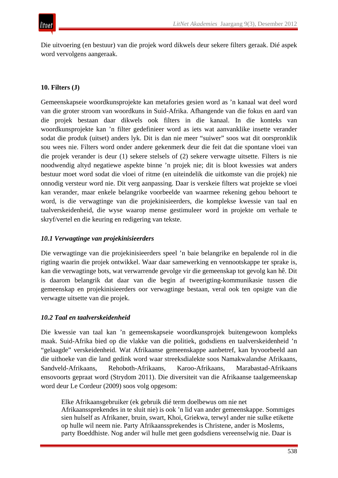Die uitvoering (en bestuur) van die projek word dikwels deur sekere filters geraak. Dié aspek word vervolgens aangeraak.

## **10. Filters (J)**

Gemeenskapseie woordkunsprojekte kan metafories gesien word as 'n kanaal wat deel word van die groter stroom van woordkuns in Suid-Afrika. Afhangende van die fokus en aard van die projek bestaan daar dikwels ook filters in die kanaal. In die konteks van woordkunsprojekte kan 'n filter gedefinieer word as iets wat aanvanklike insette verander sodat die produk (uitset) anders lyk. Dit is dan nie meer "suiwer" soos wat dit oorspronklik sou wees nie. Filters word onder andere gekenmerk deur die feit dat die spontane vloei van die projek verander is deur (1) sekere stelsels of (2) sekere verwagte uitsette. Filters is nie noodwendig altyd negatiewe aspekte binne 'n projek nie; dit is bloot kwessies wat anders bestuur moet word sodat die vloei of ritme (en uiteindelik die uitkomste van die projek) nie onnodig versteur word nie. Dit verg aanpassing. Daar is verskeie filters wat projekte se vloei kan verander, maar enkele belangrike voorbeelde van waarmee rekening gehou behoort te word, is die verwagtinge van die projekinisieerders, die komplekse kwessie van taal en taalverskeidenheid, die wyse waarop mense gestimuleer word in projekte om verhale te skryf/vertel en die keuring en redigering van tekste.

## *10.1 Verwagtinge van projekinisieerders*

Die verwagtinge van die projekinisieerders speel 'n baie belangrike en bepalende rol in die rigting waarin die projek ontwikkel. Waar daar samewerking en vennootskappe ter sprake is, kan die verwagtinge bots, wat verwarrende gevolge vir die gemeenskap tot gevolg kan hê. Dit is daarom belangrik dat daar van die begin af tweerigting-kommunikasie tussen die gemeenskap en projekinisieerders oor verwagtinge bestaan, veral ook ten opsigte van die verwagte uitsette van die projek.

## *10.2 Taal en taalverskeidenheid*

Die kwessie van taal kan 'n gemeenskapseie woordkunsprojek buitengewoon kompleks maak. Suid-Afrika bied op die vlakke van die politiek, godsdiens en taalverskeidenheid 'n "gelaagde" verskeidenheid. Wat Afrikaanse gemeenskappe aanbetref, kan byvoorbeeld aan die uithoeke van die land gedink word waar streeksdialekte soos Namakwalandse Afrikaans, Sandveld-Afrikaans, Rehoboth-Afrikaans, Karoo-Afrikaans, Marabastad-Afrikaans ensovoorts gepraat word (Strydom 2011). Die diversiteit van die Afrikaanse taalgemeenskap word deur Le Cordeur (2009) soos volg opgesom:

Elke Afrikaansgebruiker (ek gebruik dié term doelbewus om nie net Afrikaanssprekendes in te sluit nie) is ook 'n lid van ander gemeenskappe. Sommiges sien hulself as Afrikaner, bruin, swart, Khoi, Griekwa, terwyl ander nie sulke etikette op hulle wil neem nie. Party Afrikaanssprekendes is Christene, ander is Moslems, party Boeddhiste. Nog ander wil hulle met geen godsdiens vereenselwig nie. Daar is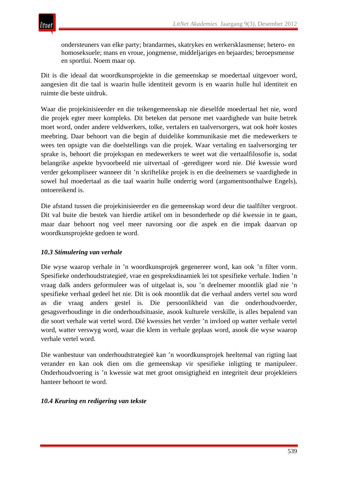ondersteuners van elke party; brandarmes, skatrykes en werkersklasmense; hetero- en homoseksuele; mans en vroue, jongmense, middeljariges en bejaardes; beroepsmense en sportlui. Noem maar op.

Dit is die ideaal dat woordkunsprojekte in die gemeenskap se moedertaal uitgevoer word, aangesien dit die taal is waarin hulle identiteit gevorm is en waarin hulle hul identiteit en ruimte die beste uitdruk.

Waar die projekinisieerder en die teikengemeenskap nie dieselfde moedertaal het nie, word die projek egter meer kompleks. Dit beteken dat persone met vaardighede van buite betrek moet word, onder andere veldwerkers, tolke, vertalers en taalversorgers, wat ook hoër kostes meebring. Daar behoort van die begin af duidelike kommunikasie met die medewerkers te wees ten opsigte van die doelstellings van die projek. Waar vertaling en taalversorging ter sprake is, behoort die projekspan en medewerkers te weet wat die vertaalfilosofie is, sodat belangrike aspekte byvoorbeeld nie uitvertaal of -geredigeer word nie. Dié kwessie word verder gekompliseer wanneer dit 'n skriftelike projek is en die deelnemers se vaardighede in sowel hul moedertaal as die taal waarin hulle onderrig word (argumentsonthalwe Engels), ontoereikend is.

Die afstand tussen die projekinisieerder en die gemeenskap word deur die taalfilter vergroot. Dit val buite die bestek van hierdie artikel om in besonderhede op dié kwessie in te gaan, maar daar behoort nog veel meer navorsing oor die aspek en die impak daarvan op woordkunsprojekte gedoen te word.

## *10.3 Stimulering van verhale*

Die wyse waarop verhale in 'n woordkunsprojek gegenereer word, kan ook 'n filter vorm. Spesifieke onderhoudstrategieë, vrae en gespreksdinamiek lei tot spesifieke verhale. Indien 'n vraag dalk anders geformuleer was of uitgelaat is, sou 'n deelnemer moontlik glad nie 'n spesifieke verhaal gedeel het nie. Dit is ook moontlik dat die verhaal anders vertel sou word as die vraag anders gestel is. Die persoonlikheid van die onderhoudvoerder, gesagsverhoudinge in die onderhoudsituasie, asook kulturele verskille, is alles bepalend van die soort verhale wat vertel word. Dié kwessies het verder 'n invloed op watter verhale vertel word, watter verswyg word, waar die klem in verhale geplaas word, asook die wyse waarop verhale vertel word.

Die wanbestuur van onderhoudstrategieë kan 'n woordkunsprojek heeltemal van rigting laat verander en kan ook dien om die gemeenskap vir spesifieke inligting te manipuleer. Onderhoudvoering is 'n kwessie wat met groot omsigtigheid en integriteit deur projekleiers hanteer behoort te word.

#### *10.4 Keuring en redigering van tekste*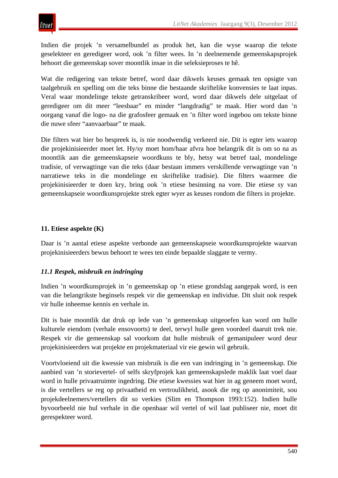Indien die projek 'n versamelbundel as produk het, kan die wyse waarop die tekste geselekteer en geredigeer word, ook 'n filter wees. In 'n deelnemende gemeenskapsprojek behoort die gemeenskap sover moontlik insae in die seleksieproses te hê.

Wat die redigering van tekste betref, word daar dikwels keuses gemaak ten opsigte van taalgebruik en spelling om die teks binne die bestaande skriftelike konvensies te laat inpas. Veral waar mondelinge tekste getranskribeer word, word daar dikwels dele uitgelaat of geredigeer om dit meer "leesbaar" en minder "langdradig" te maak. Hier word dan 'n oorgang vanaf die logo- na die grafosfeer gemaak en 'n filter word ingebou om tekste binne die nuwe sfeer "aanvaarbaar" te maak.

Die filters wat hier bo bespreek is, is nie noodwendig verkeerd nie. Dit is egter iets waarop die projekinisieerder moet let. Hy/sy moet hom/haar afvra hoe belangrik dit is om so na as moontlik aan die gemeenskapseie woordkuns te bly, hetsy wat betref taal, mondelinge tradisie, of verwagtinge van die teks (daar bestaan immers verskillende verwagtinge van 'n narratiewe teks in die mondelinge en skriftelike tradisie). Die filters waarmee die projekinisieerder te doen kry, bring ook 'n etiese besinning na vore. Die etiese sy van gemeenskapseie woordkunsprojekte strek egter wyer as keuses rondom die filters in projekte.

## **11. Etiese aspekte (K)**

Daar is 'n aantal etiese aspekte verbonde aan gemeenskapseie woordkunsprojekte waarvan projekinisieerders bewus behoort te wees ten einde bepaalde slaggate te vermy.

# *11.1 Respek, misbruik en indringing*

Indien 'n woordkunsprojek in 'n gemeenskap op 'n etiese grondslag aangepak word, is een van die belangrikste beginsels respek vir die gemeenskap en individue. Dit sluit ook respek vir hulle inheemse kennis en verhale in.

Dit is baie moontlik dat druk op lede van 'n gemeenskap uitgeoefen kan word om hulle kulturele eiendom (verhale ensovoorts) te deel, terwyl hulle geen voordeel daaruit trek nie. Respek vir die gemeenskap sal voorkom dat hulle misbruik of gemanipuleer word deur projekinisieerders wat projekte en projekmateriaal vir eie gewin wil gebruik.

Voortvloeiend uit die kwessie van misbruik is die een van indringing in 'n gemeenskap. Die aanbied van 'n storievertel- of selfs skryfprojek kan gemeenskapslede maklik laat voel daar word in hulle privaatruimte ingedring. Die etiese kwessies wat hier in ag geneem moet word, is die vertellers se reg op privaatheid en vertroulikheid, asook die reg op anonimiteit, sou projekdeelnemers/vertellers dit so verkies (Slim en Thompson 1993:152). Indien hulle byvoorbeeld nie hul verhale in die openbaar wil vertel of wil laat publiseer nie, moet dit gerespekteer word.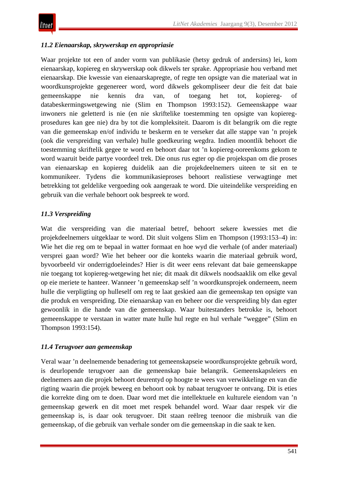# *11.2 Eienaarskap, skrywerskap en appropriasie*

Waar projekte tot een of ander vorm van publikasie (hetsy gedruk of andersins) lei, kom eienaarskap, kopiereg en skrywerskap ook dikwels ter sprake. Appropriasie hou verband met eienaarskap. Die kwessie van eienaarskapregte, of regte ten opsigte van die materiaal wat in woordkunsprojekte gegenereer word, word dikwels gekompliseer deur die feit dat baie gemeenskappe nie kennis dra van, of toegang het tot, kopiereg- of databeskermingswetgewing nie (Slim en Thompson 1993:152). Gemeenskappe waar inwoners nie geletterd is nie (en nie skriftelike toestemming ten opsigte van kopieregprosedures kan gee nie) dra by tot die kompleksiteit. Daarom is dit belangrik om die regte van die gemeenskap en/of individu te beskerm en te verseker dat alle stappe van 'n projek (ook die verspreiding van verhale) hulle goedkeuring wegdra. Indien moontlik behoort die toestemming skriftelik gegee te word en behoort daar tot 'n kopiereg-ooreenkoms gekom te word waaruit beide partye voordeel trek. Die onus rus egter op die projekspan om die proses van eienaarskap en kopiereg duidelik aan die projekdeelnemers uiteen te sit en te kommunikeer. Tydens die kommunikasieproses behoort realistiese verwagtinge met betrekking tot geldelike vergoeding ook aangeraak te word. Die uiteindelike verspreiding en gebruik van die verhale behoort ook bespreek te word.

## *11.3 Verspreiding*

Wat die verspreiding van die materiaal betref, behoort sekere kwessies met die projekdeelnemers uitgeklaar te word. Dit sluit volgens Slim en Thompson (1993:153–4) in: Wie het die reg om te bepaal in watter formaat en hoe wyd die verhale (of ander materiaal) versprei gaan word? Wie het beheer oor die konteks waarin die materiaal gebruik word, byvoorbeeld vir onderrigdoeleindes? Hier is dit weer eens relevant dat baie gemeenskappe nie toegang tot kopiereg-wetgewing het nie; dit maak dit dikwels noodsaaklik om elke geval op eie meriete te hanteer. Wanneer 'n gemeenskap self 'n woordkunsprojek onderneem, neem hulle die verpligting op hulleself om reg te laat geskied aan die gemeenskap ten opsigte van die produk en verspreiding. Die eienaarskap van en beheer oor die verspreiding bly dan egter gewoonlik in die hande van die gemeenskap. Waar buitestanders betrokke is, behoort gemeenskappe te verstaan in watter mate hulle hul regte en hul verhale "weggee" (Slim en Thompson 1993:154).

## *11.4 Terugvoer aan gemeenskap*

Veral waar 'n deelnemende benadering tot gemeenskapseie woordkunsprojekte gebruik word, is deurlopende terugvoer aan die gemeenskap baie belangrik. Gemeenskapsleiers en deelnemers aan die projek behoort deurentyd op hoogte te wees van verwikkelinge en van die rigting waarin die projek beweeg en behoort ook by nabaat terugvoer te ontvang. Dit is eties die korrekte ding om te doen. Daar word met die intellektuele en kulturele eiendom van 'n gemeenskap gewerk en dit moet met respek behandel word. Waar daar respek vir die gemeenskap is, is daar ook terugvoer. Dit staan reëlreg teenoor die misbruik van die gemeenskap, of die gebruik van verhale sonder om die gemeenskap in die saak te ken.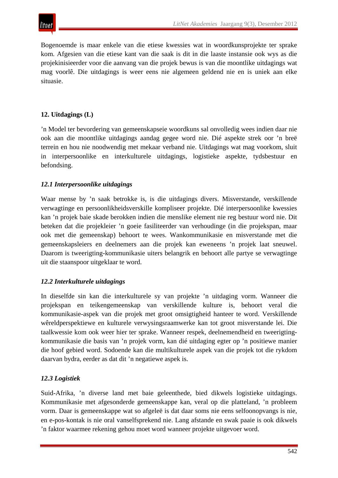Bogenoemde is maar enkele van die etiese kwessies wat in woordkunsprojekte ter sprake kom. Afgesien van die etiese kant van die saak is dit in die laaste instansie ook wys as die projekinisieerder voor die aanvang van die projek bewus is van die moontlike uitdagings wat mag voorlê. Die uitdagings is weer eens nie algemeen geldend nie en is uniek aan elke situasie.

# **12. Uitdagings (L)**

'n Model ter bevordering van gemeenskapseie woordkuns sal onvolledig wees indien daar nie ook aan die moontlike uitdagings aandag gegee word nie. Dié aspekte strek oor 'n breë terrein en hou nie noodwendig met mekaar verband nie. Uitdagings wat mag voorkom, sluit in interpersoonlike en interkulturele uitdagings, logistieke aspekte, tydsbestuur en befondsing.

# *12.1 Interpersoonlike uitdagings*

Waar mense by 'n saak betrokke is, is die uitdagings divers. Misverstande, verskillende verwagtinge en persoonlikheidsverskille kompliseer projekte. Dié interpersoonlike kwessies kan 'n projek baie skade berokken indien die menslike element nie reg bestuur word nie. Dit beteken dat die projekleier 'n goeie fasiliteerder van verhoudinge (in die projekspan, maar ook met die gemeenskap) behoort te wees. Wankommunikasie en misverstande met die gemeenskapsleiers en deelnemers aan die projek kan eweneens 'n projek laat sneuwel. Daarom is tweerigting-kommunikasie uiters belangrik en behoort alle partye se verwagtinge uit die staanspoor uitgeklaar te word.

## *12.2 Interkulturele uitdagings*

In dieselfde sin kan die interkulturele sy van projekte 'n uitdaging vorm. Wanneer die projekspan en teikengemeenskap van verskillende kulture is, behoort veral die kommunikasie-aspek van die projek met groot omsigtigheid hanteer te word. Verskillende wêreldperspektiewe en kulturele verwysingsraamwerke kan tot groot misverstande lei. Die taalkwessie kom ook weer hier ter sprake. Wanneer respek, deelnemendheid en tweerigtingkommunikasie die basis van 'n projek vorm, kan dié uitdaging egter op 'n positiewe manier die hoof gebied word. Sodoende kan die multikulturele aspek van die projek tot die rykdom daarvan bydra, eerder as dat dit 'n negatiewe aspek is.

# *12.3 Logistiek*

Suid-Afrika, 'n diverse land met baie geleenthede, bied dikwels logistieke uitdagings. Kommunikasie met afgesonderde gemeenskappe kan, veral op die platteland, 'n probleem vorm. Daar is gemeenskappe wat so afgeleë is dat daar soms nie eens selfoonopvangs is nie, en e-pos-kontak is nie oral vanselfsprekend nie. Lang afstande en swak paaie is ook dikwels 'n faktor waarmee rekening gehou moet word wanneer projekte uitgevoer word.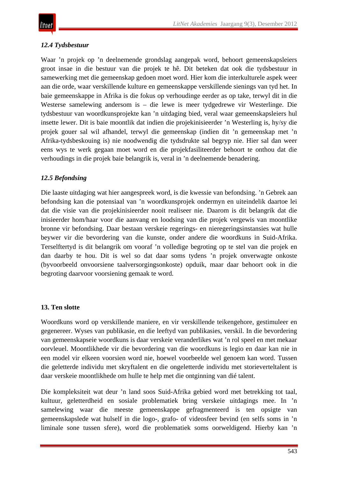## *12.4 Tydsbestuur*

Waar 'n projek op 'n deelnemende grondslag aangepak word, behoort gemeenskapsleiers groot insae in die bestuur van die projek te hê. Dit beteken dat ook die tydsbestuur in samewerking met die gemeenskap gedoen moet word. Hier kom die interkulturele aspek weer aan die orde, waar verskillende kulture en gemeenskappe verskillende sienings van tyd het. In baie gemeenskappe in Afrika is die fokus op verhoudinge eerder as op take, terwyl dit in die Westerse samelewing andersom is – die lewe is meer tydgedrewe vir Westerlinge. Die tydsbestuur van woordkunsprojekte kan 'n uitdaging bied, veral waar gemeenskapsleiers hul insette lewer. Dit is baie moontlik dat indien die projekinisieerder 'n Westerling is, hy/sy die projek gouer sal wil afhandel, terwyl die gemeenskap (indien dit 'n gemeenskap met 'n Afrika-tydsbeskouing is) nie noodwendig die tydsdrukte sal begryp nie. Hier sal dan weer eens wys te werk gegaan moet word en die projekfasiliteerder behoort te onthou dat die verhoudings in die projek baie belangrik is, veral in 'n deelnemende benadering.

## *12.5 Befondsing*

Die laaste uitdaging wat hier aangespreek word, is die kwessie van befondsing. 'n Gebrek aan befondsing kan die potensiaal van 'n woordkunsprojek ondermyn en uiteindelik daartoe lei dat die visie van die projekinisieerder nooit realiseer nie. Daarom is dit belangrik dat die inisieerder hom/haar voor die aanvang en loodsing van die projek vergewis van moontlike bronne vir befondsing. Daar bestaan verskeie regerings- en nieregeringsinstansies wat hulle beywer vir die bevordering van die kunste, onder andere die woordkuns in Suid-Afrika. Terselftertyd is dit belangrik om vooraf 'n volledige begroting op te stel van die projek en dan daarby te hou. Dit is wel so dat daar soms tydens 'n projek onverwagte onkoste (byvoorbeeld onvoorsiene taalversorgingsonkoste) opduik, maar daar behoort ook in die begroting daarvoor voorsiening gemaak te word.

## **13. Ten slotte**

Woordkuns word op verskillende maniere, en vir verskillende teikengehore, gestimuleer en gegenereer. Wyses van publikasie, en die leeftyd van publikasies, verskil. In die bevordering van gemeenskapseie woordkuns is daar verskeie veranderlikes wat 'n rol speel en met mekaar oorvleuel. Moontlikhede vir die bevordering van die woordkuns is legio en daar kan nie in een model vir elkeen voorsien word nie, hoewel voorbeelde wel genoem kan word. Tussen die geletterde individu met skryftalent en die ongeletterde individu met storieverteltalent is daar verskeie moontlikhede om hulle te help met die ontginning van dié talent.

Die kompleksiteit wat deur 'n land soos Suid-Afrika gebied word met betrekking tot taal, kultuur, geletterdheid en sosiale problematiek bring verskeie uitdagings mee. In 'n samelewing waar die meeste gemeenskappe gefragmenteerd is ten opsigte van gemeenskapslede wat hulself in die logo-, grafo- of videosfeer bevind (en selfs soms in 'n liminale sone tussen sfere), word die problematiek soms oorweldigend. Hierby kan 'n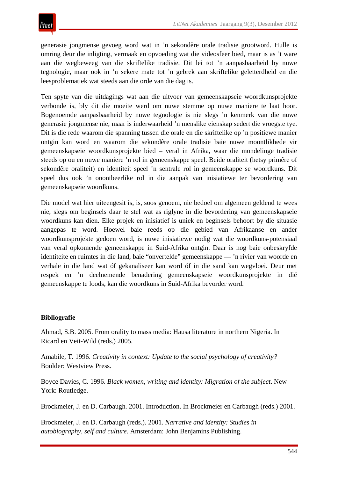generasie jongmense gevoeg word wat in 'n sekondêre orale tradisie grootword. Hulle is omring deur die inligting, vermaak en opvoeding wat die videosfeer bied, maar is as 't ware aan die wegbeweeg van die skriftelike tradisie. Dit lei tot 'n aanpasbaarheid by nuwe tegnologie, maar ook in 'n sekere mate tot 'n gebrek aan skriftelike geletterdheid en die leesproblematiek wat steeds aan die orde van die dag is.

Ten spyte van die uitdagings wat aan die uitvoer van gemeenskapseie woordkunsprojekte verbonde is, bly dit die moeite werd om nuwe stemme op nuwe maniere te laat hoor. Bogenoemde aanpasbaarheid by nuwe tegnologie is nie slegs 'n kenmerk van die nuwe generasie jongmense nie, maar is inderwaarheid 'n menslike eienskap sedert die vroegste tye. Dit is die rede waarom die spanning tussen die orale en die skriftelike op 'n positiewe manier ontgin kan word en waarom die sekondêre orale tradisie baie nuwe moontlikhede vir gemeenskapseie woordkunsprojekte bied – veral in Afrika, waar die mondelinge tradisie steeds op ou en nuwe maniere 'n rol in gemeenskappe speel. Beide oraliteit (hetsy primêre of sekondêre oraliteit) en identiteit speel 'n sentrale rol in gemeenskappe se woordkuns. Dit speel dus ook 'n onontbeerlike rol in die aanpak van inisiatiewe ter bevordering van gemeenskapseie woordkuns.

Die model wat hier uiteengesit is, is, soos genoem, nie bedoel om algemeen geldend te wees nie, slegs om beginsels daar te stel wat as riglyne in die bevordering van gemeenskapseie woordkuns kan dien. Elke projek en inisiatief is uniek en beginsels behoort by die situasie aangepas te word. Hoewel baie reeds op die gebied van Afrikaanse en ander woordkunsprojekte gedoen word, is nuwe inisiatiewe nodig wat die woordkuns-potensiaal van veral opkomende gemeenskappe in Suid-Afrika ontgin. Daar is nog baie onbeskryfde identiteite en ruimtes in die land, baie "onvertelde" gemeenskappe — 'n rivier van woorde en verhale in die land wat óf gekanaliseer kan word óf in die sand kan wegvloei. Deur met respek en 'n deelnemende benadering gemeenskapseie woordkunsprojekte in dié gemeenskappe te loods, kan die woordkuns in Suid-Afrika bevorder word.

#### **Bibliografie**

Ahmad, S.B. 2005. From orality to mass media: Hausa literature in northern Nigeria. In Ricard en Veit-Wild (reds.) 2005.

Amabile, T. 1996. *Creativity in context: Update to the social psychology of creativity?* Boulder: Westview Press.

Boyce Davies, C. 1996. *Black women, writing and identity: Migration of the subject*. New York: Routledge.

Brockmeier, J. en D. Carbaugh. 2001. Introduction. In Brockmeier en Carbaugh (reds.) 2001.

Brockmeier, J. en D. Carbaugh (reds.). 2001. *Narrative and identity: Studies in autobiography, self and culture*. Amsterdam: John Benjamins Publishing.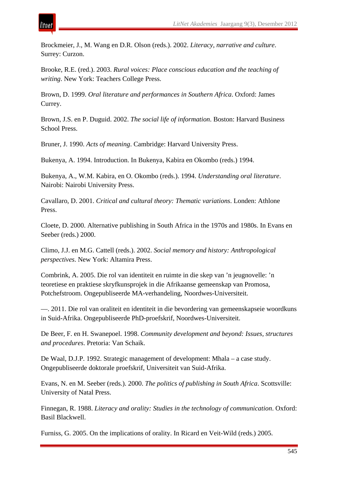Brockmeier, J., M. Wang en D.R. Olson (reds.). 2002. *Literacy, narrative and culture*. Surrey: Curzon.

Brooke, R.E. (red.). 2003. *Rural voices: Place conscious education and the teaching of writing*. New York: Teachers College Press.

Brown, D. 1999. *Oral literature and performances in Southern Africa*. Oxford: James Currey.

Brown, J.S. en P. Duguid. 2002. *The social life of information*. Boston: Harvard Business School Press.

Bruner, J. 1990. *Acts of meaning*. Cambridge: Harvard University Press.

Bukenya, A. 1994. Introduction. In Bukenya, Kabira en Okombo (reds.) 1994.

Bukenya, A., W.M. Kabira, en O. Okombo (reds.). 1994. *Understanding oral literature*. Nairobi: Nairobi University Press.

Cavallaro, D. 2001. *Critical and cultural theory: Thematic variations*. Londen: Athlone Press.

Cloete, D. 2000. Alternative publishing in South Africa in the 1970s and 1980s. In Evans en Seeber (reds.) 2000.

Climo, J.J. en M.G. Cattell (reds.). 2002. *Social memory and history: Anthropological perspectives*. New York: Altamira Press.

Combrink, A. 2005. Die rol van identiteit en ruimte in die skep van 'n jeugnovelle: 'n teoretiese en praktiese skryfkunsprojek in die Afrikaanse gemeenskap van Promosa, Potchefstroom. Ongepubliseerde MA-verhandeling, Noordwes-Universiteit.

—. 2011. Die rol van oraliteit en identiteit in die bevordering van gemeenskapseie woordkuns in Suid-Afrika. Ongepubliseerde PhD-proefskrif, Noordwes-Universiteit.

De Beer, F. en H. Swanepoel. 1998. *Community development and beyond: Issues, structures and procedures*. Pretoria: Van Schaik.

De Waal, D.J.P. 1992. Strategic management of development: Mhala – a case study. Ongepubliseerde doktorale proefskrif, Universiteit van Suid-Afrika.

Evans, N. en M. Seeber (reds.). 2000. *The politics of publishing in South Africa*. Scottsville: University of Natal Press.

Finnegan, R. 1988. *Literacy and orality: Studies in the technology of communication*. Oxford: Basil Blackwell.

Furniss, G. 2005. On the implications of orality. In Ricard en Veit-Wild (reds.) 2005.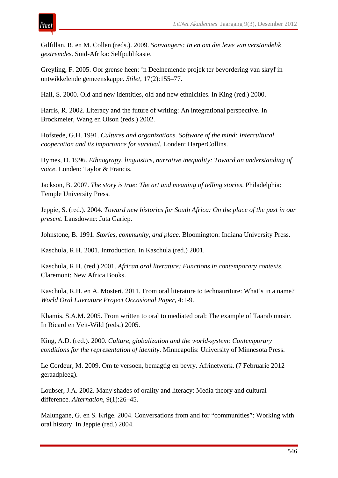

Gilfillan, R. en M. Collen (reds.). 2009. *Sonvangers: In en om die lewe van verstandelik gestremdes*. Suid-Afrika: Selfpublikasie.

Greyling, F. 2005. Oor grense heen: 'n Deelnemende projek ter bevordering van skryf in ontwikkelende gemeenskappe. *Stilet*, 17(2):155–77.

Hall, S. 2000. Old and new identities, old and new ethnicities. In King (red.) 2000.

Harris, R. 2002. Literacy and the future of writing: An integrational perspective. In Brockmeier, Wang en Olson (reds.) 2002.

Hofstede, G.H. 1991. *Cultures and organizations. Software of the mind: Intercultural cooperation and its importance for survival.* Londen: HarperCollins.

Hymes, D. 1996. *Ethnograpy, linguistics, narrative inequality: Toward an understanding of voice*. Londen: Taylor & Francis.

Jackson, B. 2007. *The story is true: The art and meaning of telling stories*. Philadelphia: Temple University Press.

Jeppie, S. (red.). 2004. *Toward new histories for South Africa: On the place of the past in our present*. Lansdowne: Juta Gariep.

Johnstone, B. 1991. *Stories, community, and place*. Bloomington: Indiana University Press.

Kaschula, R.H. 2001. Introduction. In Kaschula (red.) 2001.

Kaschula, R.H. (red.) 2001. *African oral literature: Functions in contemporary contexts*. Claremont: New Africa Books.

Kaschula, R.H. en A. Mostert. 2011. From oral literature to technauriture: What's in a name? *World Oral Literature Project Occasional Paper*, 4:1-9.

Khamis, S.A.M. 2005. From written to oral to mediated oral: The example of Taarab music. In Ricard en Veit-Wild (reds.) 2005.

King, A.D. (red.). 2000. *Culture, globalization and the world-system: Contemporary conditions for the representation of identity*. Minneapolis: University of Minnesota Press.

Le Cordeur, M. 2009. Om te versoen, bemagtig en bevry. Afrinetwerk. (7 Februarie 2012 geraadpleeg).

Loubser, J.A. 2002. Many shades of orality and literacy: Media theory and cultural difference. *Alternation*, 9(1):26–45.

Malungane, G. en S. Krige. 2004. Conversations from and for "communities": Working with oral history. In Jeppie (red.) 2004.